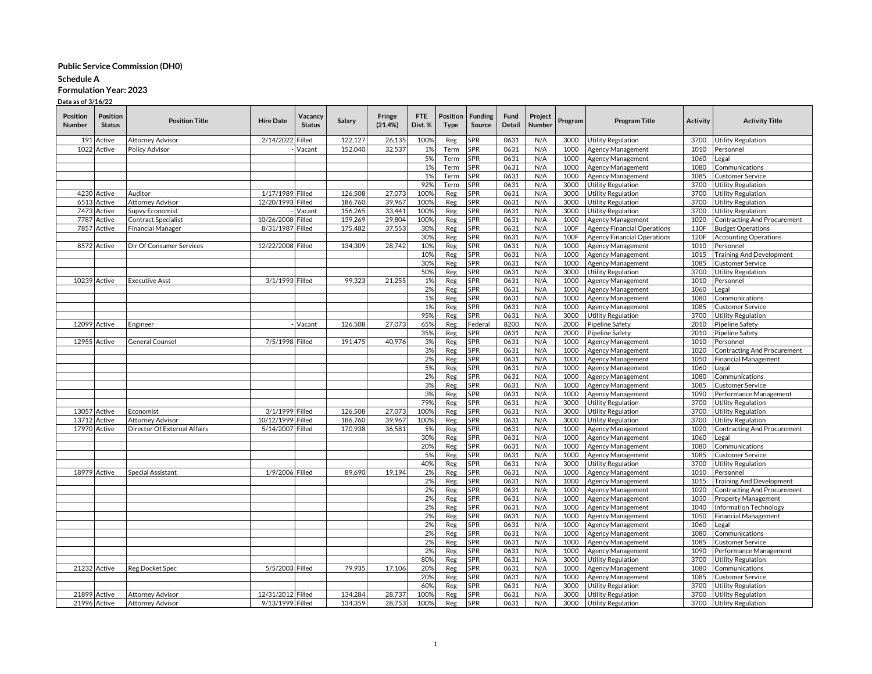#### **Schedule A**

# **Formulation Year: 2023**

| 100%<br>2/14/2022<br>Filled<br>122,127<br>26,135<br>SPR<br>0631<br>N/A<br>191<br>Active<br>Attorney Advisor<br>Reg<br>3000<br><b>Utility Regulation</b><br>3700<br><b>Utility Regulation</b><br>1022<br>32,537<br>Active<br><b>Policy Advisor</b><br>152,040<br>1%<br>SPR<br>0631<br>N/A<br>1000<br>Agency Management<br>1010<br>Vacant<br>Term<br>Personnel<br>5%<br>0631<br>SPR<br>N/A<br>1000<br>Agency Management<br>1060<br>Term<br>Legal<br>1%<br>0631<br>N/A<br>Term<br><b>SPR</b><br>1000<br>Agency Management<br>1080<br>Communications<br>0631<br>N/A<br>1000<br>1%<br>Term<br>SPR<br>Agency Management<br>1085<br><b>Customer Service</b><br>92%<br>SPR<br>0631<br>N/A<br>3000<br><b>Utility Regulation</b><br>3700<br>Term<br><b>Utility Regulation</b><br>4230 Active<br>126,508<br>27,073<br>100%<br><b>SPR</b><br>0631<br>N/A<br>3000<br>Auditor<br>1/17/1989 Filled<br>Reg<br><b>Utility Regulation</b><br>3700<br><b>Utility Regulation</b><br>0631<br>N/A<br>6513 Active<br>12/20/1993 Filled<br>186,760<br>39,967<br>100%<br>SPR<br>3000<br><b>Utility Regulation</b><br>3700<br><b>Utility Regulation</b><br>Attorney Advisor<br>Reg<br>7473 Active<br>156,265<br>33.441<br>100%<br><b>SPR</b><br>0631<br>N/A<br>3000<br>Utility Regulation<br>3700<br><b>Supvy Economist</b><br>Vacant<br>Reg<br><b>Utility Regulation</b><br>139,269<br>29,804<br><b>SPR</b><br>0631<br>N/A<br>7787<br>Active<br>Contract Specialist<br>10/26/2008<br>Filled<br>100%<br>Reg<br>1000<br>Agency Management<br>1020<br><b>Contracting And Procurement</b><br>8/31/1987 Filled<br>175,482<br>37,553<br>30%<br>0631<br>N/A<br>100F<br>7857<br>Active<br><b>Financial Manager</b><br>SPR<br><b>Agency Financial Operations</b><br>110F<br><b>Budget Operations</b><br>Reg<br>30%<br><b>SPR</b><br>0631<br>N/A<br>100F<br>120F<br>Reg<br><b>Agency Financial Operations</b><br><b>Accounting Operations</b><br>134,309<br>28,742<br>10%<br><b>SPR</b><br>0631<br>N/A<br>1000<br>1010<br>8572 Active<br>Dir Of Consumer Services<br>12/22/2008 Filled<br>Reg<br>Agency Management<br>Personnel<br>10%<br>0631<br>SPR<br>N/A<br>1000<br>Agency Management<br>1015<br><b>Training And Development</b><br>Reg<br>30%<br><b>SPR</b><br>0631<br>N/A<br>1000<br>Agency Management<br>1085<br>Reg<br><b>Customer Service</b><br>50%<br>SPR<br>0631<br>N/A<br>3000<br><b>Utility Regulation</b><br>Reg<br>3700<br><b>Utility Regulation</b><br>21,255<br>0631<br>N/A<br>10239 Active<br>3/1/1993 Filled<br>99,323<br><b>SPR</b><br>1000<br>Agency Management<br>1010<br><b>Executive Asst</b><br>1%<br>Reg<br>Personnel<br>2%<br>Reg<br>SPR<br>0631<br>N/A<br>1000<br>Agency Management<br>1060<br>Legal<br>1%<br><b>SPR</b><br>0631<br>N/A<br>1080<br>1000<br>Agency Management<br>Communications<br>Reg<br>1%<br><b>SPR</b><br>0631<br>N/A<br>1000<br>1085<br>Reg<br>Agency Management<br><b>Customer Service</b><br>95%<br>SPR<br>0631<br>N/A<br>3000<br><b>Utility Regulation</b><br>3700<br>Reg<br><b>Utility Regulation</b><br>27,073<br>N/A<br>12099 Active<br>126,508<br>65%<br>8200<br>2000<br>Pipeline Safety<br>2010<br>Pipeline Safety<br>Vacant<br>Reg<br>Federal<br>Engineer<br>35%<br><b>SPR</b><br>0631<br>N/A<br>2000<br>Reg<br><b>Pipeline Safety</b><br>2010<br><b>Pipeline Safety</b><br>12955 Active<br>7/5/1998 Filled<br>191.475<br>40.976<br><b>SPR</b><br>0631<br>N/A<br>1000<br>Agency Management<br>1010<br>General Counsel<br>3%<br>Reg<br>Personnel<br>3%<br>0631<br>N/A<br><b>SPR</b><br>1000<br>Agency Management<br>1020<br>Contracting And Procurement<br>Reg<br>2%<br><b>SPR</b><br>0631<br>N/A<br>1000<br>1050<br>Reg<br>Agency Management<br><b>Financial Management</b><br>5%<br>0631<br>SPR<br>N/A<br>1000<br>Agency Management<br>1060<br>Reg<br>Legal<br>2%<br><b>SPR</b><br>0631<br>N/A<br>1000<br>Agency Management<br>1080<br>Reg<br>Communications<br>3%<br><b>SPR</b><br>0631<br>N/A<br>1000<br>1085<br>Agency Management<br><b>Customer Service</b><br>Reg<br>3%<br>0631<br>N/A<br>1000<br>Agency Management<br>SPR<br>1090<br>Performance Management<br>Reg<br>79%<br>0631<br>N/A<br>3700<br>Reg<br>SPR<br>3000<br><b>Utility Regulation</b><br><b>Utility Regulation</b><br>13057 Active<br>3/1/1999 Filled<br>126,508<br>27,073<br>100%<br><b>SPR</b><br>0631<br>N/A<br>3000<br>3700<br>Reg<br><b>Utility Regulation</b><br><b>Utility Regulation</b><br>Economist<br>13712<br>10/12/1999<br>Filled<br>186,760<br>39.967<br>100%<br><b>SPR</b><br>0631<br>N/A<br>3000<br><b>Utility Regulation</b><br>3700<br>Active<br><b>Attorney Advisor</b><br>Reg<br><b>Utility Regulation</b><br>170,938<br>SPR<br>0631<br>N/A<br>1000<br>Agency Management<br>1020<br><b>Contracting And Procurement</b><br><b>17970 Active</b><br>Director Of External Affairs<br>5/14/2007<br>Filled<br>36,581<br>5%<br>Reg<br>30%<br><b>SPR</b><br>0631<br>N/A<br>1000<br>Reg<br>Agency Management<br>1060<br>Legal<br>20%<br>SPR<br>0631<br>N/A<br>1000<br>Reg<br>Agency Management<br>1080<br>Communications<br>5%<br>0631<br>N/A<br>Agency Management<br>Reg<br>SPR<br>1000<br>1085<br>Customer Service<br>40%<br><b>SPR</b><br>0631<br>N/A<br>3000<br><b>Utility Regulation</b><br>3700<br>Reg<br><b>Utility Regulation</b><br>19,194<br>2%<br>SPR<br>0631<br>N/A<br>1000<br>Agency Management<br>1010<br>18979 Active<br>1/9/2006 Filled<br>89,690<br>Reg<br>Special Assistant<br>Personnel<br>2%<br>0631<br>N/A<br>Reg<br>SPR<br>1000<br>Agency Management<br>1015<br><b>Training And Development</b><br>2%<br><b>SPR</b><br>0631<br>N/A<br>1000<br>Agency Management<br>1020<br>Contracting And Procurement<br>Reg<br>0631<br>2%<br>SPR<br>N/A<br>1000<br>Agency Management<br>1030<br>Property Management<br>Reg<br>2%<br><b>SPR</b><br>0631<br>N/A<br>1000<br>Reg<br>Agency Management<br>1040<br>Information Technology<br>2%<br>0631<br>N/A<br>1000<br>Agency Management<br>1050<br><b>Financial Management</b><br>Reg<br><b>SPR</b><br>2%<br>SPR<br>0631<br>N/A<br>1060<br>Reg<br>1000<br>Agency Management<br>Legal<br>2%<br><b>SPR</b><br>0631<br>N/A<br>Agency Management<br>1080<br>Reg<br>1000<br>Communications<br>2%<br>SPR<br>0631<br>N/A<br>1000<br>Agency Management<br>1085<br>Reg<br>Customer Service<br>2%<br><b>SPR</b><br>0631<br>N/A<br>1000<br>Agency Management<br>1090<br>Performance Management<br>Reg<br>80%<br>SPR<br>0631<br>N/A<br>3700<br>Reg<br>3000<br><b>Utility Regulation</b><br><b>Utility Regulation</b><br>21232 Active<br>5/5/2003 Filled<br>79.935<br>17.106<br>0631<br>N/A<br>Agency Management<br>1080<br>Reg Docket Spec<br>20%<br>Reg<br>SPR<br>1000<br>Communications<br>0631<br>N/A<br>20%<br>SPR<br>1000<br>Agency Management<br>1085<br>Reg<br>Customer Service<br>SPR<br>0631<br>60%<br>N/A<br>3000<br><b>Utility Regulation</b><br>3700<br>Reg<br><b>Utility Regulation</b><br>21899 Active<br>12/31/2012 Filled<br>134,284<br>28.737<br>100%<br><b>SPR</b><br>0631<br>N/A<br><b>Attorney Advisor</b><br>3000<br><b>Utility Regulation</b><br>3700<br><b>Utility Regulation</b><br>Reg<br>9/13/1999 Filled<br>Utility Regulation<br>21996 Active<br><b>Attorney Advisor</b> | <b>Position</b><br><b>Number</b> | Position<br><b>Status</b> | <b>Position Title</b> | <b>Hire Date</b> | Vacancy<br><b>Status</b> | Salary  | Fringe<br>(21.4%) | FTE<br>Dist.% | Position<br>Type | <b>Funding</b><br>Source | Fund<br><b>Detail</b> | Project<br>Number | Program | <b>Program Title</b> | <b>Activity</b> | <b>Activity Title</b>     |
|-------------------------------------------------------------------------------------------------------------------------------------------------------------------------------------------------------------------------------------------------------------------------------------------------------------------------------------------------------------------------------------------------------------------------------------------------------------------------------------------------------------------------------------------------------------------------------------------------------------------------------------------------------------------------------------------------------------------------------------------------------------------------------------------------------------------------------------------------------------------------------------------------------------------------------------------------------------------------------------------------------------------------------------------------------------------------------------------------------------------------------------------------------------------------------------------------------------------------------------------------------------------------------------------------------------------------------------------------------------------------------------------------------------------------------------------------------------------------------------------------------------------------------------------------------------------------------------------------------------------------------------------------------------------------------------------------------------------------------------------------------------------------------------------------------------------------------------------------------------------------------------------------------------------------------------------------------------------------------------------------------------------------------------------------------------------------------------------------------------------------------------------------------------------------------------------------------------------------------------------------------------------------------------------------------------------------------------------------------------------------------------------------------------------------------------------------------------------------------------------------------------------------------------------------------------------------------------------------------------------------------------------------------------------------------------------------------------------------------------------------------------------------------------------------------------------------------------------------------------------------------------------------------------------------------------------------------------------------------------------------------------------------------------------------------------------------------------------------------------------------------------------------------------------------------------------------------------------------------------------------------------------------------------------------------------------------------------------------------------------------------------------------------------------------------------------------------------------------------------------------------------------------------------------------------------------------------------------------------------------------------------------------------------------------------------------------------------------------------------------------------------------------------------------------------------------------------------------------------------------------------------------------------------------------------------------------------------------------------------------------------------------------------------------------------------------------------------------------------------------------------------------------------------------------------------------------------------------------------------------------------------------------------------------------------------------------------------------------------------------------------------------------------------------------------------------------------------------------------------------------------------------------------------------------------------------------------------------------------------------------------------------------------------------------------------------------------------------------------------------------------------------------------------------------------------------------------------------------------------------------------------------------------------------------------------------------------------------------------------------------------------------------------------------------------------------------------------------------------------------------------------------------------------------------------------------------------------------------------------------------------------------------------------------------------------------------------------------------------------------------------------------------------------------------------------------------------------------------------------------------------------------------------------------------------------------------------------------------------------------------------------------------------------------------------------------------------------------------------------------------------------------------------------------------------------------------------------------------------------------------------------------------------------------------------------------------------------------------------------------------------------------------------------------------------------------------------------------------------------------------------------------------------------------------------------------------------------------------------------------------------------------------------------------------------------------------------------------------------------------------------------------------------------------------------------------------------------------------------------------------------------------------------------------------------------------------------------------------------------------------------------------------------------------------------------------------------------------------------------------------------------------------------------------------------------------------------------------------------------------------------------------------------------------------------------------------------------------------------------------------------------------------------------------------------------------------------------------------------------------------------------------------------|----------------------------------|---------------------------|-----------------------|------------------|--------------------------|---------|-------------------|---------------|------------------|--------------------------|-----------------------|-------------------|---------|----------------------|-----------------|---------------------------|
|                                                                                                                                                                                                                                                                                                                                                                                                                                                                                                                                                                                                                                                                                                                                                                                                                                                                                                                                                                                                                                                                                                                                                                                                                                                                                                                                                                                                                                                                                                                                                                                                                                                                                                                                                                                                                                                                                                                                                                                                                                                                                                                                                                                                                                                                                                                                                                                                                                                                                                                                                                                                                                                                                                                                                                                                                                                                                                                                                                                                                                                                                                                                                                                                                                                                                                                                                                                                                                                                                                                                                                                                                                                                                                                                                                                                                                                                                                                                                                                                                                                                                                                                                                                                                                                                                                                                                                                                                                                                                                                                                                                                                                                                                                                                                                                                                                                                                                                                                                                                                                                                                                                                                                                                                                                                                                                                                                                                                                                                                                                                                                                                                                                                                                                                                                                                                                                                                                                                                                                                                                                                                                                                                                                                                                                                                                                                                                                                                                                                                                                                                                                                                                                                                                                                                                                                                                                                                                                                                                                                                                                                                                                                                       |                                  |                           |                       |                  |                          |         |                   |               |                  |                          |                       |                   |         |                      |                 |                           |
|                                                                                                                                                                                                                                                                                                                                                                                                                                                                                                                                                                                                                                                                                                                                                                                                                                                                                                                                                                                                                                                                                                                                                                                                                                                                                                                                                                                                                                                                                                                                                                                                                                                                                                                                                                                                                                                                                                                                                                                                                                                                                                                                                                                                                                                                                                                                                                                                                                                                                                                                                                                                                                                                                                                                                                                                                                                                                                                                                                                                                                                                                                                                                                                                                                                                                                                                                                                                                                                                                                                                                                                                                                                                                                                                                                                                                                                                                                                                                                                                                                                                                                                                                                                                                                                                                                                                                                                                                                                                                                                                                                                                                                                                                                                                                                                                                                                                                                                                                                                                                                                                                                                                                                                                                                                                                                                                                                                                                                                                                                                                                                                                                                                                                                                                                                                                                                                                                                                                                                                                                                                                                                                                                                                                                                                                                                                                                                                                                                                                                                                                                                                                                                                                                                                                                                                                                                                                                                                                                                                                                                                                                                                                                       |                                  |                           |                       |                  |                          |         |                   |               |                  |                          |                       |                   |         |                      |                 |                           |
|                                                                                                                                                                                                                                                                                                                                                                                                                                                                                                                                                                                                                                                                                                                                                                                                                                                                                                                                                                                                                                                                                                                                                                                                                                                                                                                                                                                                                                                                                                                                                                                                                                                                                                                                                                                                                                                                                                                                                                                                                                                                                                                                                                                                                                                                                                                                                                                                                                                                                                                                                                                                                                                                                                                                                                                                                                                                                                                                                                                                                                                                                                                                                                                                                                                                                                                                                                                                                                                                                                                                                                                                                                                                                                                                                                                                                                                                                                                                                                                                                                                                                                                                                                                                                                                                                                                                                                                                                                                                                                                                                                                                                                                                                                                                                                                                                                                                                                                                                                                                                                                                                                                                                                                                                                                                                                                                                                                                                                                                                                                                                                                                                                                                                                                                                                                                                                                                                                                                                                                                                                                                                                                                                                                                                                                                                                                                                                                                                                                                                                                                                                                                                                                                                                                                                                                                                                                                                                                                                                                                                                                                                                                                                       |                                  |                           |                       |                  |                          |         |                   |               |                  |                          |                       |                   |         |                      |                 |                           |
|                                                                                                                                                                                                                                                                                                                                                                                                                                                                                                                                                                                                                                                                                                                                                                                                                                                                                                                                                                                                                                                                                                                                                                                                                                                                                                                                                                                                                                                                                                                                                                                                                                                                                                                                                                                                                                                                                                                                                                                                                                                                                                                                                                                                                                                                                                                                                                                                                                                                                                                                                                                                                                                                                                                                                                                                                                                                                                                                                                                                                                                                                                                                                                                                                                                                                                                                                                                                                                                                                                                                                                                                                                                                                                                                                                                                                                                                                                                                                                                                                                                                                                                                                                                                                                                                                                                                                                                                                                                                                                                                                                                                                                                                                                                                                                                                                                                                                                                                                                                                                                                                                                                                                                                                                                                                                                                                                                                                                                                                                                                                                                                                                                                                                                                                                                                                                                                                                                                                                                                                                                                                                                                                                                                                                                                                                                                                                                                                                                                                                                                                                                                                                                                                                                                                                                                                                                                                                                                                                                                                                                                                                                                                                       |                                  |                           |                       |                  |                          |         |                   |               |                  |                          |                       |                   |         |                      |                 |                           |
|                                                                                                                                                                                                                                                                                                                                                                                                                                                                                                                                                                                                                                                                                                                                                                                                                                                                                                                                                                                                                                                                                                                                                                                                                                                                                                                                                                                                                                                                                                                                                                                                                                                                                                                                                                                                                                                                                                                                                                                                                                                                                                                                                                                                                                                                                                                                                                                                                                                                                                                                                                                                                                                                                                                                                                                                                                                                                                                                                                                                                                                                                                                                                                                                                                                                                                                                                                                                                                                                                                                                                                                                                                                                                                                                                                                                                                                                                                                                                                                                                                                                                                                                                                                                                                                                                                                                                                                                                                                                                                                                                                                                                                                                                                                                                                                                                                                                                                                                                                                                                                                                                                                                                                                                                                                                                                                                                                                                                                                                                                                                                                                                                                                                                                                                                                                                                                                                                                                                                                                                                                                                                                                                                                                                                                                                                                                                                                                                                                                                                                                                                                                                                                                                                                                                                                                                                                                                                                                                                                                                                                                                                                                                                       |                                  |                           |                       |                  |                          |         |                   |               |                  |                          |                       |                   |         |                      |                 |                           |
|                                                                                                                                                                                                                                                                                                                                                                                                                                                                                                                                                                                                                                                                                                                                                                                                                                                                                                                                                                                                                                                                                                                                                                                                                                                                                                                                                                                                                                                                                                                                                                                                                                                                                                                                                                                                                                                                                                                                                                                                                                                                                                                                                                                                                                                                                                                                                                                                                                                                                                                                                                                                                                                                                                                                                                                                                                                                                                                                                                                                                                                                                                                                                                                                                                                                                                                                                                                                                                                                                                                                                                                                                                                                                                                                                                                                                                                                                                                                                                                                                                                                                                                                                                                                                                                                                                                                                                                                                                                                                                                                                                                                                                                                                                                                                                                                                                                                                                                                                                                                                                                                                                                                                                                                                                                                                                                                                                                                                                                                                                                                                                                                                                                                                                                                                                                                                                                                                                                                                                                                                                                                                                                                                                                                                                                                                                                                                                                                                                                                                                                                                                                                                                                                                                                                                                                                                                                                                                                                                                                                                                                                                                                                                       |                                  |                           |                       |                  |                          |         |                   |               |                  |                          |                       |                   |         |                      |                 |                           |
|                                                                                                                                                                                                                                                                                                                                                                                                                                                                                                                                                                                                                                                                                                                                                                                                                                                                                                                                                                                                                                                                                                                                                                                                                                                                                                                                                                                                                                                                                                                                                                                                                                                                                                                                                                                                                                                                                                                                                                                                                                                                                                                                                                                                                                                                                                                                                                                                                                                                                                                                                                                                                                                                                                                                                                                                                                                                                                                                                                                                                                                                                                                                                                                                                                                                                                                                                                                                                                                                                                                                                                                                                                                                                                                                                                                                                                                                                                                                                                                                                                                                                                                                                                                                                                                                                                                                                                                                                                                                                                                                                                                                                                                                                                                                                                                                                                                                                                                                                                                                                                                                                                                                                                                                                                                                                                                                                                                                                                                                                                                                                                                                                                                                                                                                                                                                                                                                                                                                                                                                                                                                                                                                                                                                                                                                                                                                                                                                                                                                                                                                                                                                                                                                                                                                                                                                                                                                                                                                                                                                                                                                                                                                                       |                                  |                           |                       |                  |                          |         |                   |               |                  |                          |                       |                   |         |                      |                 |                           |
|                                                                                                                                                                                                                                                                                                                                                                                                                                                                                                                                                                                                                                                                                                                                                                                                                                                                                                                                                                                                                                                                                                                                                                                                                                                                                                                                                                                                                                                                                                                                                                                                                                                                                                                                                                                                                                                                                                                                                                                                                                                                                                                                                                                                                                                                                                                                                                                                                                                                                                                                                                                                                                                                                                                                                                                                                                                                                                                                                                                                                                                                                                                                                                                                                                                                                                                                                                                                                                                                                                                                                                                                                                                                                                                                                                                                                                                                                                                                                                                                                                                                                                                                                                                                                                                                                                                                                                                                                                                                                                                                                                                                                                                                                                                                                                                                                                                                                                                                                                                                                                                                                                                                                                                                                                                                                                                                                                                                                                                                                                                                                                                                                                                                                                                                                                                                                                                                                                                                                                                                                                                                                                                                                                                                                                                                                                                                                                                                                                                                                                                                                                                                                                                                                                                                                                                                                                                                                                                                                                                                                                                                                                                                                       |                                  |                           |                       |                  |                          |         |                   |               |                  |                          |                       |                   |         |                      |                 |                           |
|                                                                                                                                                                                                                                                                                                                                                                                                                                                                                                                                                                                                                                                                                                                                                                                                                                                                                                                                                                                                                                                                                                                                                                                                                                                                                                                                                                                                                                                                                                                                                                                                                                                                                                                                                                                                                                                                                                                                                                                                                                                                                                                                                                                                                                                                                                                                                                                                                                                                                                                                                                                                                                                                                                                                                                                                                                                                                                                                                                                                                                                                                                                                                                                                                                                                                                                                                                                                                                                                                                                                                                                                                                                                                                                                                                                                                                                                                                                                                                                                                                                                                                                                                                                                                                                                                                                                                                                                                                                                                                                                                                                                                                                                                                                                                                                                                                                                                                                                                                                                                                                                                                                                                                                                                                                                                                                                                                                                                                                                                                                                                                                                                                                                                                                                                                                                                                                                                                                                                                                                                                                                                                                                                                                                                                                                                                                                                                                                                                                                                                                                                                                                                                                                                                                                                                                                                                                                                                                                                                                                                                                                                                                                                       |                                  |                           |                       |                  |                          |         |                   |               |                  |                          |                       |                   |         |                      |                 |                           |
|                                                                                                                                                                                                                                                                                                                                                                                                                                                                                                                                                                                                                                                                                                                                                                                                                                                                                                                                                                                                                                                                                                                                                                                                                                                                                                                                                                                                                                                                                                                                                                                                                                                                                                                                                                                                                                                                                                                                                                                                                                                                                                                                                                                                                                                                                                                                                                                                                                                                                                                                                                                                                                                                                                                                                                                                                                                                                                                                                                                                                                                                                                                                                                                                                                                                                                                                                                                                                                                                                                                                                                                                                                                                                                                                                                                                                                                                                                                                                                                                                                                                                                                                                                                                                                                                                                                                                                                                                                                                                                                                                                                                                                                                                                                                                                                                                                                                                                                                                                                                                                                                                                                                                                                                                                                                                                                                                                                                                                                                                                                                                                                                                                                                                                                                                                                                                                                                                                                                                                                                                                                                                                                                                                                                                                                                                                                                                                                                                                                                                                                                                                                                                                                                                                                                                                                                                                                                                                                                                                                                                                                                                                                                                       |                                  |                           |                       |                  |                          |         |                   |               |                  |                          |                       |                   |         |                      |                 |                           |
|                                                                                                                                                                                                                                                                                                                                                                                                                                                                                                                                                                                                                                                                                                                                                                                                                                                                                                                                                                                                                                                                                                                                                                                                                                                                                                                                                                                                                                                                                                                                                                                                                                                                                                                                                                                                                                                                                                                                                                                                                                                                                                                                                                                                                                                                                                                                                                                                                                                                                                                                                                                                                                                                                                                                                                                                                                                                                                                                                                                                                                                                                                                                                                                                                                                                                                                                                                                                                                                                                                                                                                                                                                                                                                                                                                                                                                                                                                                                                                                                                                                                                                                                                                                                                                                                                                                                                                                                                                                                                                                                                                                                                                                                                                                                                                                                                                                                                                                                                                                                                                                                                                                                                                                                                                                                                                                                                                                                                                                                                                                                                                                                                                                                                                                                                                                                                                                                                                                                                                                                                                                                                                                                                                                                                                                                                                                                                                                                                                                                                                                                                                                                                                                                                                                                                                                                                                                                                                                                                                                                                                                                                                                                                       |                                  |                           |                       |                  |                          |         |                   |               |                  |                          |                       |                   |         |                      |                 |                           |
|                                                                                                                                                                                                                                                                                                                                                                                                                                                                                                                                                                                                                                                                                                                                                                                                                                                                                                                                                                                                                                                                                                                                                                                                                                                                                                                                                                                                                                                                                                                                                                                                                                                                                                                                                                                                                                                                                                                                                                                                                                                                                                                                                                                                                                                                                                                                                                                                                                                                                                                                                                                                                                                                                                                                                                                                                                                                                                                                                                                                                                                                                                                                                                                                                                                                                                                                                                                                                                                                                                                                                                                                                                                                                                                                                                                                                                                                                                                                                                                                                                                                                                                                                                                                                                                                                                                                                                                                                                                                                                                                                                                                                                                                                                                                                                                                                                                                                                                                                                                                                                                                                                                                                                                                                                                                                                                                                                                                                                                                                                                                                                                                                                                                                                                                                                                                                                                                                                                                                                                                                                                                                                                                                                                                                                                                                                                                                                                                                                                                                                                                                                                                                                                                                                                                                                                                                                                                                                                                                                                                                                                                                                                                                       |                                  |                           |                       |                  |                          |         |                   |               |                  |                          |                       |                   |         |                      |                 |                           |
|                                                                                                                                                                                                                                                                                                                                                                                                                                                                                                                                                                                                                                                                                                                                                                                                                                                                                                                                                                                                                                                                                                                                                                                                                                                                                                                                                                                                                                                                                                                                                                                                                                                                                                                                                                                                                                                                                                                                                                                                                                                                                                                                                                                                                                                                                                                                                                                                                                                                                                                                                                                                                                                                                                                                                                                                                                                                                                                                                                                                                                                                                                                                                                                                                                                                                                                                                                                                                                                                                                                                                                                                                                                                                                                                                                                                                                                                                                                                                                                                                                                                                                                                                                                                                                                                                                                                                                                                                                                                                                                                                                                                                                                                                                                                                                                                                                                                                                                                                                                                                                                                                                                                                                                                                                                                                                                                                                                                                                                                                                                                                                                                                                                                                                                                                                                                                                                                                                                                                                                                                                                                                                                                                                                                                                                                                                                                                                                                                                                                                                                                                                                                                                                                                                                                                                                                                                                                                                                                                                                                                                                                                                                                                       |                                  |                           |                       |                  |                          |         |                   |               |                  |                          |                       |                   |         |                      |                 |                           |
|                                                                                                                                                                                                                                                                                                                                                                                                                                                                                                                                                                                                                                                                                                                                                                                                                                                                                                                                                                                                                                                                                                                                                                                                                                                                                                                                                                                                                                                                                                                                                                                                                                                                                                                                                                                                                                                                                                                                                                                                                                                                                                                                                                                                                                                                                                                                                                                                                                                                                                                                                                                                                                                                                                                                                                                                                                                                                                                                                                                                                                                                                                                                                                                                                                                                                                                                                                                                                                                                                                                                                                                                                                                                                                                                                                                                                                                                                                                                                                                                                                                                                                                                                                                                                                                                                                                                                                                                                                                                                                                                                                                                                                                                                                                                                                                                                                                                                                                                                                                                                                                                                                                                                                                                                                                                                                                                                                                                                                                                                                                                                                                                                                                                                                                                                                                                                                                                                                                                                                                                                                                                                                                                                                                                                                                                                                                                                                                                                                                                                                                                                                                                                                                                                                                                                                                                                                                                                                                                                                                                                                                                                                                                                       |                                  |                           |                       |                  |                          |         |                   |               |                  |                          |                       |                   |         |                      |                 |                           |
|                                                                                                                                                                                                                                                                                                                                                                                                                                                                                                                                                                                                                                                                                                                                                                                                                                                                                                                                                                                                                                                                                                                                                                                                                                                                                                                                                                                                                                                                                                                                                                                                                                                                                                                                                                                                                                                                                                                                                                                                                                                                                                                                                                                                                                                                                                                                                                                                                                                                                                                                                                                                                                                                                                                                                                                                                                                                                                                                                                                                                                                                                                                                                                                                                                                                                                                                                                                                                                                                                                                                                                                                                                                                                                                                                                                                                                                                                                                                                                                                                                                                                                                                                                                                                                                                                                                                                                                                                                                                                                                                                                                                                                                                                                                                                                                                                                                                                                                                                                                                                                                                                                                                                                                                                                                                                                                                                                                                                                                                                                                                                                                                                                                                                                                                                                                                                                                                                                                                                                                                                                                                                                                                                                                                                                                                                                                                                                                                                                                                                                                                                                                                                                                                                                                                                                                                                                                                                                                                                                                                                                                                                                                                                       |                                  |                           |                       |                  |                          |         |                   |               |                  |                          |                       |                   |         |                      |                 |                           |
|                                                                                                                                                                                                                                                                                                                                                                                                                                                                                                                                                                                                                                                                                                                                                                                                                                                                                                                                                                                                                                                                                                                                                                                                                                                                                                                                                                                                                                                                                                                                                                                                                                                                                                                                                                                                                                                                                                                                                                                                                                                                                                                                                                                                                                                                                                                                                                                                                                                                                                                                                                                                                                                                                                                                                                                                                                                                                                                                                                                                                                                                                                                                                                                                                                                                                                                                                                                                                                                                                                                                                                                                                                                                                                                                                                                                                                                                                                                                                                                                                                                                                                                                                                                                                                                                                                                                                                                                                                                                                                                                                                                                                                                                                                                                                                                                                                                                                                                                                                                                                                                                                                                                                                                                                                                                                                                                                                                                                                                                                                                                                                                                                                                                                                                                                                                                                                                                                                                                                                                                                                                                                                                                                                                                                                                                                                                                                                                                                                                                                                                                                                                                                                                                                                                                                                                                                                                                                                                                                                                                                                                                                                                                                       |                                  |                           |                       |                  |                          |         |                   |               |                  |                          |                       |                   |         |                      |                 |                           |
|                                                                                                                                                                                                                                                                                                                                                                                                                                                                                                                                                                                                                                                                                                                                                                                                                                                                                                                                                                                                                                                                                                                                                                                                                                                                                                                                                                                                                                                                                                                                                                                                                                                                                                                                                                                                                                                                                                                                                                                                                                                                                                                                                                                                                                                                                                                                                                                                                                                                                                                                                                                                                                                                                                                                                                                                                                                                                                                                                                                                                                                                                                                                                                                                                                                                                                                                                                                                                                                                                                                                                                                                                                                                                                                                                                                                                                                                                                                                                                                                                                                                                                                                                                                                                                                                                                                                                                                                                                                                                                                                                                                                                                                                                                                                                                                                                                                                                                                                                                                                                                                                                                                                                                                                                                                                                                                                                                                                                                                                                                                                                                                                                                                                                                                                                                                                                                                                                                                                                                                                                                                                                                                                                                                                                                                                                                                                                                                                                                                                                                                                                                                                                                                                                                                                                                                                                                                                                                                                                                                                                                                                                                                                                       |                                  |                           |                       |                  |                          |         |                   |               |                  |                          |                       |                   |         |                      |                 |                           |
|                                                                                                                                                                                                                                                                                                                                                                                                                                                                                                                                                                                                                                                                                                                                                                                                                                                                                                                                                                                                                                                                                                                                                                                                                                                                                                                                                                                                                                                                                                                                                                                                                                                                                                                                                                                                                                                                                                                                                                                                                                                                                                                                                                                                                                                                                                                                                                                                                                                                                                                                                                                                                                                                                                                                                                                                                                                                                                                                                                                                                                                                                                                                                                                                                                                                                                                                                                                                                                                                                                                                                                                                                                                                                                                                                                                                                                                                                                                                                                                                                                                                                                                                                                                                                                                                                                                                                                                                                                                                                                                                                                                                                                                                                                                                                                                                                                                                                                                                                                                                                                                                                                                                                                                                                                                                                                                                                                                                                                                                                                                                                                                                                                                                                                                                                                                                                                                                                                                                                                                                                                                                                                                                                                                                                                                                                                                                                                                                                                                                                                                                                                                                                                                                                                                                                                                                                                                                                                                                                                                                                                                                                                                                                       |                                  |                           |                       |                  |                          |         |                   |               |                  |                          |                       |                   |         |                      |                 |                           |
|                                                                                                                                                                                                                                                                                                                                                                                                                                                                                                                                                                                                                                                                                                                                                                                                                                                                                                                                                                                                                                                                                                                                                                                                                                                                                                                                                                                                                                                                                                                                                                                                                                                                                                                                                                                                                                                                                                                                                                                                                                                                                                                                                                                                                                                                                                                                                                                                                                                                                                                                                                                                                                                                                                                                                                                                                                                                                                                                                                                                                                                                                                                                                                                                                                                                                                                                                                                                                                                                                                                                                                                                                                                                                                                                                                                                                                                                                                                                                                                                                                                                                                                                                                                                                                                                                                                                                                                                                                                                                                                                                                                                                                                                                                                                                                                                                                                                                                                                                                                                                                                                                                                                                                                                                                                                                                                                                                                                                                                                                                                                                                                                                                                                                                                                                                                                                                                                                                                                                                                                                                                                                                                                                                                                                                                                                                                                                                                                                                                                                                                                                                                                                                                                                                                                                                                                                                                                                                                                                                                                                                                                                                                                                       |                                  |                           |                       |                  |                          |         |                   |               |                  |                          |                       |                   |         |                      |                 |                           |
|                                                                                                                                                                                                                                                                                                                                                                                                                                                                                                                                                                                                                                                                                                                                                                                                                                                                                                                                                                                                                                                                                                                                                                                                                                                                                                                                                                                                                                                                                                                                                                                                                                                                                                                                                                                                                                                                                                                                                                                                                                                                                                                                                                                                                                                                                                                                                                                                                                                                                                                                                                                                                                                                                                                                                                                                                                                                                                                                                                                                                                                                                                                                                                                                                                                                                                                                                                                                                                                                                                                                                                                                                                                                                                                                                                                                                                                                                                                                                                                                                                                                                                                                                                                                                                                                                                                                                                                                                                                                                                                                                                                                                                                                                                                                                                                                                                                                                                                                                                                                                                                                                                                                                                                                                                                                                                                                                                                                                                                                                                                                                                                                                                                                                                                                                                                                                                                                                                                                                                                                                                                                                                                                                                                                                                                                                                                                                                                                                                                                                                                                                                                                                                                                                                                                                                                                                                                                                                                                                                                                                                                                                                                                                       |                                  |                           |                       |                  |                          |         |                   |               |                  |                          |                       |                   |         |                      |                 |                           |
|                                                                                                                                                                                                                                                                                                                                                                                                                                                                                                                                                                                                                                                                                                                                                                                                                                                                                                                                                                                                                                                                                                                                                                                                                                                                                                                                                                                                                                                                                                                                                                                                                                                                                                                                                                                                                                                                                                                                                                                                                                                                                                                                                                                                                                                                                                                                                                                                                                                                                                                                                                                                                                                                                                                                                                                                                                                                                                                                                                                                                                                                                                                                                                                                                                                                                                                                                                                                                                                                                                                                                                                                                                                                                                                                                                                                                                                                                                                                                                                                                                                                                                                                                                                                                                                                                                                                                                                                                                                                                                                                                                                                                                                                                                                                                                                                                                                                                                                                                                                                                                                                                                                                                                                                                                                                                                                                                                                                                                                                                                                                                                                                                                                                                                                                                                                                                                                                                                                                                                                                                                                                                                                                                                                                                                                                                                                                                                                                                                                                                                                                                                                                                                                                                                                                                                                                                                                                                                                                                                                                                                                                                                                                                       |                                  |                           |                       |                  |                          |         |                   |               |                  |                          |                       |                   |         |                      |                 |                           |
|                                                                                                                                                                                                                                                                                                                                                                                                                                                                                                                                                                                                                                                                                                                                                                                                                                                                                                                                                                                                                                                                                                                                                                                                                                                                                                                                                                                                                                                                                                                                                                                                                                                                                                                                                                                                                                                                                                                                                                                                                                                                                                                                                                                                                                                                                                                                                                                                                                                                                                                                                                                                                                                                                                                                                                                                                                                                                                                                                                                                                                                                                                                                                                                                                                                                                                                                                                                                                                                                                                                                                                                                                                                                                                                                                                                                                                                                                                                                                                                                                                                                                                                                                                                                                                                                                                                                                                                                                                                                                                                                                                                                                                                                                                                                                                                                                                                                                                                                                                                                                                                                                                                                                                                                                                                                                                                                                                                                                                                                                                                                                                                                                                                                                                                                                                                                                                                                                                                                                                                                                                                                                                                                                                                                                                                                                                                                                                                                                                                                                                                                                                                                                                                                                                                                                                                                                                                                                                                                                                                                                                                                                                                                                       |                                  |                           |                       |                  |                          |         |                   |               |                  |                          |                       |                   |         |                      |                 |                           |
|                                                                                                                                                                                                                                                                                                                                                                                                                                                                                                                                                                                                                                                                                                                                                                                                                                                                                                                                                                                                                                                                                                                                                                                                                                                                                                                                                                                                                                                                                                                                                                                                                                                                                                                                                                                                                                                                                                                                                                                                                                                                                                                                                                                                                                                                                                                                                                                                                                                                                                                                                                                                                                                                                                                                                                                                                                                                                                                                                                                                                                                                                                                                                                                                                                                                                                                                                                                                                                                                                                                                                                                                                                                                                                                                                                                                                                                                                                                                                                                                                                                                                                                                                                                                                                                                                                                                                                                                                                                                                                                                                                                                                                                                                                                                                                                                                                                                                                                                                                                                                                                                                                                                                                                                                                                                                                                                                                                                                                                                                                                                                                                                                                                                                                                                                                                                                                                                                                                                                                                                                                                                                                                                                                                                                                                                                                                                                                                                                                                                                                                                                                                                                                                                                                                                                                                                                                                                                                                                                                                                                                                                                                                                                       |                                  |                           |                       |                  |                          |         |                   |               |                  |                          |                       |                   |         |                      |                 |                           |
|                                                                                                                                                                                                                                                                                                                                                                                                                                                                                                                                                                                                                                                                                                                                                                                                                                                                                                                                                                                                                                                                                                                                                                                                                                                                                                                                                                                                                                                                                                                                                                                                                                                                                                                                                                                                                                                                                                                                                                                                                                                                                                                                                                                                                                                                                                                                                                                                                                                                                                                                                                                                                                                                                                                                                                                                                                                                                                                                                                                                                                                                                                                                                                                                                                                                                                                                                                                                                                                                                                                                                                                                                                                                                                                                                                                                                                                                                                                                                                                                                                                                                                                                                                                                                                                                                                                                                                                                                                                                                                                                                                                                                                                                                                                                                                                                                                                                                                                                                                                                                                                                                                                                                                                                                                                                                                                                                                                                                                                                                                                                                                                                                                                                                                                                                                                                                                                                                                                                                                                                                                                                                                                                                                                                                                                                                                                                                                                                                                                                                                                                                                                                                                                                                                                                                                                                                                                                                                                                                                                                                                                                                                                                                       |                                  |                           |                       |                  |                          |         |                   |               |                  |                          |                       |                   |         |                      |                 |                           |
|                                                                                                                                                                                                                                                                                                                                                                                                                                                                                                                                                                                                                                                                                                                                                                                                                                                                                                                                                                                                                                                                                                                                                                                                                                                                                                                                                                                                                                                                                                                                                                                                                                                                                                                                                                                                                                                                                                                                                                                                                                                                                                                                                                                                                                                                                                                                                                                                                                                                                                                                                                                                                                                                                                                                                                                                                                                                                                                                                                                                                                                                                                                                                                                                                                                                                                                                                                                                                                                                                                                                                                                                                                                                                                                                                                                                                                                                                                                                                                                                                                                                                                                                                                                                                                                                                                                                                                                                                                                                                                                                                                                                                                                                                                                                                                                                                                                                                                                                                                                                                                                                                                                                                                                                                                                                                                                                                                                                                                                                                                                                                                                                                                                                                                                                                                                                                                                                                                                                                                                                                                                                                                                                                                                                                                                                                                                                                                                                                                                                                                                                                                                                                                                                                                                                                                                                                                                                                                                                                                                                                                                                                                                                                       |                                  |                           |                       |                  |                          |         |                   |               |                  |                          |                       |                   |         |                      |                 |                           |
|                                                                                                                                                                                                                                                                                                                                                                                                                                                                                                                                                                                                                                                                                                                                                                                                                                                                                                                                                                                                                                                                                                                                                                                                                                                                                                                                                                                                                                                                                                                                                                                                                                                                                                                                                                                                                                                                                                                                                                                                                                                                                                                                                                                                                                                                                                                                                                                                                                                                                                                                                                                                                                                                                                                                                                                                                                                                                                                                                                                                                                                                                                                                                                                                                                                                                                                                                                                                                                                                                                                                                                                                                                                                                                                                                                                                                                                                                                                                                                                                                                                                                                                                                                                                                                                                                                                                                                                                                                                                                                                                                                                                                                                                                                                                                                                                                                                                                                                                                                                                                                                                                                                                                                                                                                                                                                                                                                                                                                                                                                                                                                                                                                                                                                                                                                                                                                                                                                                                                                                                                                                                                                                                                                                                                                                                                                                                                                                                                                                                                                                                                                                                                                                                                                                                                                                                                                                                                                                                                                                                                                                                                                                                                       |                                  |                           |                       |                  |                          |         |                   |               |                  |                          |                       |                   |         |                      |                 |                           |
|                                                                                                                                                                                                                                                                                                                                                                                                                                                                                                                                                                                                                                                                                                                                                                                                                                                                                                                                                                                                                                                                                                                                                                                                                                                                                                                                                                                                                                                                                                                                                                                                                                                                                                                                                                                                                                                                                                                                                                                                                                                                                                                                                                                                                                                                                                                                                                                                                                                                                                                                                                                                                                                                                                                                                                                                                                                                                                                                                                                                                                                                                                                                                                                                                                                                                                                                                                                                                                                                                                                                                                                                                                                                                                                                                                                                                                                                                                                                                                                                                                                                                                                                                                                                                                                                                                                                                                                                                                                                                                                                                                                                                                                                                                                                                                                                                                                                                                                                                                                                                                                                                                                                                                                                                                                                                                                                                                                                                                                                                                                                                                                                                                                                                                                                                                                                                                                                                                                                                                                                                                                                                                                                                                                                                                                                                                                                                                                                                                                                                                                                                                                                                                                                                                                                                                                                                                                                                                                                                                                                                                                                                                                                                       |                                  |                           |                       |                  |                          |         |                   |               |                  |                          |                       |                   |         |                      |                 |                           |
|                                                                                                                                                                                                                                                                                                                                                                                                                                                                                                                                                                                                                                                                                                                                                                                                                                                                                                                                                                                                                                                                                                                                                                                                                                                                                                                                                                                                                                                                                                                                                                                                                                                                                                                                                                                                                                                                                                                                                                                                                                                                                                                                                                                                                                                                                                                                                                                                                                                                                                                                                                                                                                                                                                                                                                                                                                                                                                                                                                                                                                                                                                                                                                                                                                                                                                                                                                                                                                                                                                                                                                                                                                                                                                                                                                                                                                                                                                                                                                                                                                                                                                                                                                                                                                                                                                                                                                                                                                                                                                                                                                                                                                                                                                                                                                                                                                                                                                                                                                                                                                                                                                                                                                                                                                                                                                                                                                                                                                                                                                                                                                                                                                                                                                                                                                                                                                                                                                                                                                                                                                                                                                                                                                                                                                                                                                                                                                                                                                                                                                                                                                                                                                                                                                                                                                                                                                                                                                                                                                                                                                                                                                                                                       |                                  |                           |                       |                  |                          |         |                   |               |                  |                          |                       |                   |         |                      |                 |                           |
|                                                                                                                                                                                                                                                                                                                                                                                                                                                                                                                                                                                                                                                                                                                                                                                                                                                                                                                                                                                                                                                                                                                                                                                                                                                                                                                                                                                                                                                                                                                                                                                                                                                                                                                                                                                                                                                                                                                                                                                                                                                                                                                                                                                                                                                                                                                                                                                                                                                                                                                                                                                                                                                                                                                                                                                                                                                                                                                                                                                                                                                                                                                                                                                                                                                                                                                                                                                                                                                                                                                                                                                                                                                                                                                                                                                                                                                                                                                                                                                                                                                                                                                                                                                                                                                                                                                                                                                                                                                                                                                                                                                                                                                                                                                                                                                                                                                                                                                                                                                                                                                                                                                                                                                                                                                                                                                                                                                                                                                                                                                                                                                                                                                                                                                                                                                                                                                                                                                                                                                                                                                                                                                                                                                                                                                                                                                                                                                                                                                                                                                                                                                                                                                                                                                                                                                                                                                                                                                                                                                                                                                                                                                                                       |                                  |                           |                       |                  |                          |         |                   |               |                  |                          |                       |                   |         |                      |                 |                           |
|                                                                                                                                                                                                                                                                                                                                                                                                                                                                                                                                                                                                                                                                                                                                                                                                                                                                                                                                                                                                                                                                                                                                                                                                                                                                                                                                                                                                                                                                                                                                                                                                                                                                                                                                                                                                                                                                                                                                                                                                                                                                                                                                                                                                                                                                                                                                                                                                                                                                                                                                                                                                                                                                                                                                                                                                                                                                                                                                                                                                                                                                                                                                                                                                                                                                                                                                                                                                                                                                                                                                                                                                                                                                                                                                                                                                                                                                                                                                                                                                                                                                                                                                                                                                                                                                                                                                                                                                                                                                                                                                                                                                                                                                                                                                                                                                                                                                                                                                                                                                                                                                                                                                                                                                                                                                                                                                                                                                                                                                                                                                                                                                                                                                                                                                                                                                                                                                                                                                                                                                                                                                                                                                                                                                                                                                                                                                                                                                                                                                                                                                                                                                                                                                                                                                                                                                                                                                                                                                                                                                                                                                                                                                                       |                                  |                           |                       |                  |                          |         |                   |               |                  |                          |                       |                   |         |                      |                 |                           |
|                                                                                                                                                                                                                                                                                                                                                                                                                                                                                                                                                                                                                                                                                                                                                                                                                                                                                                                                                                                                                                                                                                                                                                                                                                                                                                                                                                                                                                                                                                                                                                                                                                                                                                                                                                                                                                                                                                                                                                                                                                                                                                                                                                                                                                                                                                                                                                                                                                                                                                                                                                                                                                                                                                                                                                                                                                                                                                                                                                                                                                                                                                                                                                                                                                                                                                                                                                                                                                                                                                                                                                                                                                                                                                                                                                                                                                                                                                                                                                                                                                                                                                                                                                                                                                                                                                                                                                                                                                                                                                                                                                                                                                                                                                                                                                                                                                                                                                                                                                                                                                                                                                                                                                                                                                                                                                                                                                                                                                                                                                                                                                                                                                                                                                                                                                                                                                                                                                                                                                                                                                                                                                                                                                                                                                                                                                                                                                                                                                                                                                                                                                                                                                                                                                                                                                                                                                                                                                                                                                                                                                                                                                                                                       |                                  |                           |                       |                  |                          |         |                   |               |                  |                          |                       |                   |         |                      |                 |                           |
|                                                                                                                                                                                                                                                                                                                                                                                                                                                                                                                                                                                                                                                                                                                                                                                                                                                                                                                                                                                                                                                                                                                                                                                                                                                                                                                                                                                                                                                                                                                                                                                                                                                                                                                                                                                                                                                                                                                                                                                                                                                                                                                                                                                                                                                                                                                                                                                                                                                                                                                                                                                                                                                                                                                                                                                                                                                                                                                                                                                                                                                                                                                                                                                                                                                                                                                                                                                                                                                                                                                                                                                                                                                                                                                                                                                                                                                                                                                                                                                                                                                                                                                                                                                                                                                                                                                                                                                                                                                                                                                                                                                                                                                                                                                                                                                                                                                                                                                                                                                                                                                                                                                                                                                                                                                                                                                                                                                                                                                                                                                                                                                                                                                                                                                                                                                                                                                                                                                                                                                                                                                                                                                                                                                                                                                                                                                                                                                                                                                                                                                                                                                                                                                                                                                                                                                                                                                                                                                                                                                                                                                                                                                                                       |                                  |                           |                       |                  |                          |         |                   |               |                  |                          |                       |                   |         |                      |                 |                           |
|                                                                                                                                                                                                                                                                                                                                                                                                                                                                                                                                                                                                                                                                                                                                                                                                                                                                                                                                                                                                                                                                                                                                                                                                                                                                                                                                                                                                                                                                                                                                                                                                                                                                                                                                                                                                                                                                                                                                                                                                                                                                                                                                                                                                                                                                                                                                                                                                                                                                                                                                                                                                                                                                                                                                                                                                                                                                                                                                                                                                                                                                                                                                                                                                                                                                                                                                                                                                                                                                                                                                                                                                                                                                                                                                                                                                                                                                                                                                                                                                                                                                                                                                                                                                                                                                                                                                                                                                                                                                                                                                                                                                                                                                                                                                                                                                                                                                                                                                                                                                                                                                                                                                                                                                                                                                                                                                                                                                                                                                                                                                                                                                                                                                                                                                                                                                                                                                                                                                                                                                                                                                                                                                                                                                                                                                                                                                                                                                                                                                                                                                                                                                                                                                                                                                                                                                                                                                                                                                                                                                                                                                                                                                                       |                                  |                           |                       |                  |                          |         |                   |               |                  |                          |                       |                   |         |                      |                 |                           |
|                                                                                                                                                                                                                                                                                                                                                                                                                                                                                                                                                                                                                                                                                                                                                                                                                                                                                                                                                                                                                                                                                                                                                                                                                                                                                                                                                                                                                                                                                                                                                                                                                                                                                                                                                                                                                                                                                                                                                                                                                                                                                                                                                                                                                                                                                                                                                                                                                                                                                                                                                                                                                                                                                                                                                                                                                                                                                                                                                                                                                                                                                                                                                                                                                                                                                                                                                                                                                                                                                                                                                                                                                                                                                                                                                                                                                                                                                                                                                                                                                                                                                                                                                                                                                                                                                                                                                                                                                                                                                                                                                                                                                                                                                                                                                                                                                                                                                                                                                                                                                                                                                                                                                                                                                                                                                                                                                                                                                                                                                                                                                                                                                                                                                                                                                                                                                                                                                                                                                                                                                                                                                                                                                                                                                                                                                                                                                                                                                                                                                                                                                                                                                                                                                                                                                                                                                                                                                                                                                                                                                                                                                                                                                       |                                  |                           |                       |                  |                          |         |                   |               |                  |                          |                       |                   |         |                      |                 |                           |
|                                                                                                                                                                                                                                                                                                                                                                                                                                                                                                                                                                                                                                                                                                                                                                                                                                                                                                                                                                                                                                                                                                                                                                                                                                                                                                                                                                                                                                                                                                                                                                                                                                                                                                                                                                                                                                                                                                                                                                                                                                                                                                                                                                                                                                                                                                                                                                                                                                                                                                                                                                                                                                                                                                                                                                                                                                                                                                                                                                                                                                                                                                                                                                                                                                                                                                                                                                                                                                                                                                                                                                                                                                                                                                                                                                                                                                                                                                                                                                                                                                                                                                                                                                                                                                                                                                                                                                                                                                                                                                                                                                                                                                                                                                                                                                                                                                                                                                                                                                                                                                                                                                                                                                                                                                                                                                                                                                                                                                                                                                                                                                                                                                                                                                                                                                                                                                                                                                                                                                                                                                                                                                                                                                                                                                                                                                                                                                                                                                                                                                                                                                                                                                                                                                                                                                                                                                                                                                                                                                                                                                                                                                                                                       |                                  |                           |                       |                  |                          |         |                   |               |                  |                          |                       |                   |         |                      |                 |                           |
|                                                                                                                                                                                                                                                                                                                                                                                                                                                                                                                                                                                                                                                                                                                                                                                                                                                                                                                                                                                                                                                                                                                                                                                                                                                                                                                                                                                                                                                                                                                                                                                                                                                                                                                                                                                                                                                                                                                                                                                                                                                                                                                                                                                                                                                                                                                                                                                                                                                                                                                                                                                                                                                                                                                                                                                                                                                                                                                                                                                                                                                                                                                                                                                                                                                                                                                                                                                                                                                                                                                                                                                                                                                                                                                                                                                                                                                                                                                                                                                                                                                                                                                                                                                                                                                                                                                                                                                                                                                                                                                                                                                                                                                                                                                                                                                                                                                                                                                                                                                                                                                                                                                                                                                                                                                                                                                                                                                                                                                                                                                                                                                                                                                                                                                                                                                                                                                                                                                                                                                                                                                                                                                                                                                                                                                                                                                                                                                                                                                                                                                                                                                                                                                                                                                                                                                                                                                                                                                                                                                                                                                                                                                                                       |                                  |                           |                       |                  |                          |         |                   |               |                  |                          |                       |                   |         |                      |                 |                           |
|                                                                                                                                                                                                                                                                                                                                                                                                                                                                                                                                                                                                                                                                                                                                                                                                                                                                                                                                                                                                                                                                                                                                                                                                                                                                                                                                                                                                                                                                                                                                                                                                                                                                                                                                                                                                                                                                                                                                                                                                                                                                                                                                                                                                                                                                                                                                                                                                                                                                                                                                                                                                                                                                                                                                                                                                                                                                                                                                                                                                                                                                                                                                                                                                                                                                                                                                                                                                                                                                                                                                                                                                                                                                                                                                                                                                                                                                                                                                                                                                                                                                                                                                                                                                                                                                                                                                                                                                                                                                                                                                                                                                                                                                                                                                                                                                                                                                                                                                                                                                                                                                                                                                                                                                                                                                                                                                                                                                                                                                                                                                                                                                                                                                                                                                                                                                                                                                                                                                                                                                                                                                                                                                                                                                                                                                                                                                                                                                                                                                                                                                                                                                                                                                                                                                                                                                                                                                                                                                                                                                                                                                                                                                                       |                                  |                           |                       |                  |                          |         |                   |               |                  |                          |                       |                   |         |                      |                 |                           |
|                                                                                                                                                                                                                                                                                                                                                                                                                                                                                                                                                                                                                                                                                                                                                                                                                                                                                                                                                                                                                                                                                                                                                                                                                                                                                                                                                                                                                                                                                                                                                                                                                                                                                                                                                                                                                                                                                                                                                                                                                                                                                                                                                                                                                                                                                                                                                                                                                                                                                                                                                                                                                                                                                                                                                                                                                                                                                                                                                                                                                                                                                                                                                                                                                                                                                                                                                                                                                                                                                                                                                                                                                                                                                                                                                                                                                                                                                                                                                                                                                                                                                                                                                                                                                                                                                                                                                                                                                                                                                                                                                                                                                                                                                                                                                                                                                                                                                                                                                                                                                                                                                                                                                                                                                                                                                                                                                                                                                                                                                                                                                                                                                                                                                                                                                                                                                                                                                                                                                                                                                                                                                                                                                                                                                                                                                                                                                                                                                                                                                                                                                                                                                                                                                                                                                                                                                                                                                                                                                                                                                                                                                                                                                       |                                  |                           |                       |                  |                          |         |                   |               |                  |                          |                       |                   |         |                      |                 |                           |
|                                                                                                                                                                                                                                                                                                                                                                                                                                                                                                                                                                                                                                                                                                                                                                                                                                                                                                                                                                                                                                                                                                                                                                                                                                                                                                                                                                                                                                                                                                                                                                                                                                                                                                                                                                                                                                                                                                                                                                                                                                                                                                                                                                                                                                                                                                                                                                                                                                                                                                                                                                                                                                                                                                                                                                                                                                                                                                                                                                                                                                                                                                                                                                                                                                                                                                                                                                                                                                                                                                                                                                                                                                                                                                                                                                                                                                                                                                                                                                                                                                                                                                                                                                                                                                                                                                                                                                                                                                                                                                                                                                                                                                                                                                                                                                                                                                                                                                                                                                                                                                                                                                                                                                                                                                                                                                                                                                                                                                                                                                                                                                                                                                                                                                                                                                                                                                                                                                                                                                                                                                                                                                                                                                                                                                                                                                                                                                                                                                                                                                                                                                                                                                                                                                                                                                                                                                                                                                                                                                                                                                                                                                                                                       |                                  |                           |                       |                  |                          |         |                   |               |                  |                          |                       |                   |         |                      |                 |                           |
|                                                                                                                                                                                                                                                                                                                                                                                                                                                                                                                                                                                                                                                                                                                                                                                                                                                                                                                                                                                                                                                                                                                                                                                                                                                                                                                                                                                                                                                                                                                                                                                                                                                                                                                                                                                                                                                                                                                                                                                                                                                                                                                                                                                                                                                                                                                                                                                                                                                                                                                                                                                                                                                                                                                                                                                                                                                                                                                                                                                                                                                                                                                                                                                                                                                                                                                                                                                                                                                                                                                                                                                                                                                                                                                                                                                                                                                                                                                                                                                                                                                                                                                                                                                                                                                                                                                                                                                                                                                                                                                                                                                                                                                                                                                                                                                                                                                                                                                                                                                                                                                                                                                                                                                                                                                                                                                                                                                                                                                                                                                                                                                                                                                                                                                                                                                                                                                                                                                                                                                                                                                                                                                                                                                                                                                                                                                                                                                                                                                                                                                                                                                                                                                                                                                                                                                                                                                                                                                                                                                                                                                                                                                                                       |                                  |                           |                       |                  |                          |         |                   |               |                  |                          |                       |                   |         |                      |                 |                           |
|                                                                                                                                                                                                                                                                                                                                                                                                                                                                                                                                                                                                                                                                                                                                                                                                                                                                                                                                                                                                                                                                                                                                                                                                                                                                                                                                                                                                                                                                                                                                                                                                                                                                                                                                                                                                                                                                                                                                                                                                                                                                                                                                                                                                                                                                                                                                                                                                                                                                                                                                                                                                                                                                                                                                                                                                                                                                                                                                                                                                                                                                                                                                                                                                                                                                                                                                                                                                                                                                                                                                                                                                                                                                                                                                                                                                                                                                                                                                                                                                                                                                                                                                                                                                                                                                                                                                                                                                                                                                                                                                                                                                                                                                                                                                                                                                                                                                                                                                                                                                                                                                                                                                                                                                                                                                                                                                                                                                                                                                                                                                                                                                                                                                                                                                                                                                                                                                                                                                                                                                                                                                                                                                                                                                                                                                                                                                                                                                                                                                                                                                                                                                                                                                                                                                                                                                                                                                                                                                                                                                                                                                                                                                                       |                                  |                           |                       |                  |                          |         |                   |               |                  |                          |                       |                   |         |                      |                 |                           |
|                                                                                                                                                                                                                                                                                                                                                                                                                                                                                                                                                                                                                                                                                                                                                                                                                                                                                                                                                                                                                                                                                                                                                                                                                                                                                                                                                                                                                                                                                                                                                                                                                                                                                                                                                                                                                                                                                                                                                                                                                                                                                                                                                                                                                                                                                                                                                                                                                                                                                                                                                                                                                                                                                                                                                                                                                                                                                                                                                                                                                                                                                                                                                                                                                                                                                                                                                                                                                                                                                                                                                                                                                                                                                                                                                                                                                                                                                                                                                                                                                                                                                                                                                                                                                                                                                                                                                                                                                                                                                                                                                                                                                                                                                                                                                                                                                                                                                                                                                                                                                                                                                                                                                                                                                                                                                                                                                                                                                                                                                                                                                                                                                                                                                                                                                                                                                                                                                                                                                                                                                                                                                                                                                                                                                                                                                                                                                                                                                                                                                                                                                                                                                                                                                                                                                                                                                                                                                                                                                                                                                                                                                                                                                       |                                  |                           |                       |                  |                          |         |                   |               |                  |                          |                       |                   |         |                      |                 |                           |
|                                                                                                                                                                                                                                                                                                                                                                                                                                                                                                                                                                                                                                                                                                                                                                                                                                                                                                                                                                                                                                                                                                                                                                                                                                                                                                                                                                                                                                                                                                                                                                                                                                                                                                                                                                                                                                                                                                                                                                                                                                                                                                                                                                                                                                                                                                                                                                                                                                                                                                                                                                                                                                                                                                                                                                                                                                                                                                                                                                                                                                                                                                                                                                                                                                                                                                                                                                                                                                                                                                                                                                                                                                                                                                                                                                                                                                                                                                                                                                                                                                                                                                                                                                                                                                                                                                                                                                                                                                                                                                                                                                                                                                                                                                                                                                                                                                                                                                                                                                                                                                                                                                                                                                                                                                                                                                                                                                                                                                                                                                                                                                                                                                                                                                                                                                                                                                                                                                                                                                                                                                                                                                                                                                                                                                                                                                                                                                                                                                                                                                                                                                                                                                                                                                                                                                                                                                                                                                                                                                                                                                                                                                                                                       |                                  |                           |                       |                  |                          |         |                   |               |                  |                          |                       |                   |         |                      |                 |                           |
|                                                                                                                                                                                                                                                                                                                                                                                                                                                                                                                                                                                                                                                                                                                                                                                                                                                                                                                                                                                                                                                                                                                                                                                                                                                                                                                                                                                                                                                                                                                                                                                                                                                                                                                                                                                                                                                                                                                                                                                                                                                                                                                                                                                                                                                                                                                                                                                                                                                                                                                                                                                                                                                                                                                                                                                                                                                                                                                                                                                                                                                                                                                                                                                                                                                                                                                                                                                                                                                                                                                                                                                                                                                                                                                                                                                                                                                                                                                                                                                                                                                                                                                                                                                                                                                                                                                                                                                                                                                                                                                                                                                                                                                                                                                                                                                                                                                                                                                                                                                                                                                                                                                                                                                                                                                                                                                                                                                                                                                                                                                                                                                                                                                                                                                                                                                                                                                                                                                                                                                                                                                                                                                                                                                                                                                                                                                                                                                                                                                                                                                                                                                                                                                                                                                                                                                                                                                                                                                                                                                                                                                                                                                                                       |                                  |                           |                       |                  |                          |         |                   |               |                  |                          |                       |                   |         |                      |                 |                           |
|                                                                                                                                                                                                                                                                                                                                                                                                                                                                                                                                                                                                                                                                                                                                                                                                                                                                                                                                                                                                                                                                                                                                                                                                                                                                                                                                                                                                                                                                                                                                                                                                                                                                                                                                                                                                                                                                                                                                                                                                                                                                                                                                                                                                                                                                                                                                                                                                                                                                                                                                                                                                                                                                                                                                                                                                                                                                                                                                                                                                                                                                                                                                                                                                                                                                                                                                                                                                                                                                                                                                                                                                                                                                                                                                                                                                                                                                                                                                                                                                                                                                                                                                                                                                                                                                                                                                                                                                                                                                                                                                                                                                                                                                                                                                                                                                                                                                                                                                                                                                                                                                                                                                                                                                                                                                                                                                                                                                                                                                                                                                                                                                                                                                                                                                                                                                                                                                                                                                                                                                                                                                                                                                                                                                                                                                                                                                                                                                                                                                                                                                                                                                                                                                                                                                                                                                                                                                                                                                                                                                                                                                                                                                                       |                                  |                           |                       |                  |                          |         |                   |               |                  |                          |                       |                   |         |                      |                 |                           |
|                                                                                                                                                                                                                                                                                                                                                                                                                                                                                                                                                                                                                                                                                                                                                                                                                                                                                                                                                                                                                                                                                                                                                                                                                                                                                                                                                                                                                                                                                                                                                                                                                                                                                                                                                                                                                                                                                                                                                                                                                                                                                                                                                                                                                                                                                                                                                                                                                                                                                                                                                                                                                                                                                                                                                                                                                                                                                                                                                                                                                                                                                                                                                                                                                                                                                                                                                                                                                                                                                                                                                                                                                                                                                                                                                                                                                                                                                                                                                                                                                                                                                                                                                                                                                                                                                                                                                                                                                                                                                                                                                                                                                                                                                                                                                                                                                                                                                                                                                                                                                                                                                                                                                                                                                                                                                                                                                                                                                                                                                                                                                                                                                                                                                                                                                                                                                                                                                                                                                                                                                                                                                                                                                                                                                                                                                                                                                                                                                                                                                                                                                                                                                                                                                                                                                                                                                                                                                                                                                                                                                                                                                                                                                       |                                  |                           |                       |                  |                          |         |                   |               |                  |                          |                       |                   |         |                      |                 |                           |
|                                                                                                                                                                                                                                                                                                                                                                                                                                                                                                                                                                                                                                                                                                                                                                                                                                                                                                                                                                                                                                                                                                                                                                                                                                                                                                                                                                                                                                                                                                                                                                                                                                                                                                                                                                                                                                                                                                                                                                                                                                                                                                                                                                                                                                                                                                                                                                                                                                                                                                                                                                                                                                                                                                                                                                                                                                                                                                                                                                                                                                                                                                                                                                                                                                                                                                                                                                                                                                                                                                                                                                                                                                                                                                                                                                                                                                                                                                                                                                                                                                                                                                                                                                                                                                                                                                                                                                                                                                                                                                                                                                                                                                                                                                                                                                                                                                                                                                                                                                                                                                                                                                                                                                                                                                                                                                                                                                                                                                                                                                                                                                                                                                                                                                                                                                                                                                                                                                                                                                                                                                                                                                                                                                                                                                                                                                                                                                                                                                                                                                                                                                                                                                                                                                                                                                                                                                                                                                                                                                                                                                                                                                                                                       |                                  |                           |                       |                  |                          |         |                   |               |                  |                          |                       |                   |         |                      |                 |                           |
|                                                                                                                                                                                                                                                                                                                                                                                                                                                                                                                                                                                                                                                                                                                                                                                                                                                                                                                                                                                                                                                                                                                                                                                                                                                                                                                                                                                                                                                                                                                                                                                                                                                                                                                                                                                                                                                                                                                                                                                                                                                                                                                                                                                                                                                                                                                                                                                                                                                                                                                                                                                                                                                                                                                                                                                                                                                                                                                                                                                                                                                                                                                                                                                                                                                                                                                                                                                                                                                                                                                                                                                                                                                                                                                                                                                                                                                                                                                                                                                                                                                                                                                                                                                                                                                                                                                                                                                                                                                                                                                                                                                                                                                                                                                                                                                                                                                                                                                                                                                                                                                                                                                                                                                                                                                                                                                                                                                                                                                                                                                                                                                                                                                                                                                                                                                                                                                                                                                                                                                                                                                                                                                                                                                                                                                                                                                                                                                                                                                                                                                                                                                                                                                                                                                                                                                                                                                                                                                                                                                                                                                                                                                                                       |                                  |                           |                       |                  |                          |         |                   |               |                  |                          |                       |                   |         |                      |                 |                           |
|                                                                                                                                                                                                                                                                                                                                                                                                                                                                                                                                                                                                                                                                                                                                                                                                                                                                                                                                                                                                                                                                                                                                                                                                                                                                                                                                                                                                                                                                                                                                                                                                                                                                                                                                                                                                                                                                                                                                                                                                                                                                                                                                                                                                                                                                                                                                                                                                                                                                                                                                                                                                                                                                                                                                                                                                                                                                                                                                                                                                                                                                                                                                                                                                                                                                                                                                                                                                                                                                                                                                                                                                                                                                                                                                                                                                                                                                                                                                                                                                                                                                                                                                                                                                                                                                                                                                                                                                                                                                                                                                                                                                                                                                                                                                                                                                                                                                                                                                                                                                                                                                                                                                                                                                                                                                                                                                                                                                                                                                                                                                                                                                                                                                                                                                                                                                                                                                                                                                                                                                                                                                                                                                                                                                                                                                                                                                                                                                                                                                                                                                                                                                                                                                                                                                                                                                                                                                                                                                                                                                                                                                                                                                                       |                                  |                           |                       |                  |                          |         |                   |               |                  |                          |                       |                   |         |                      |                 |                           |
|                                                                                                                                                                                                                                                                                                                                                                                                                                                                                                                                                                                                                                                                                                                                                                                                                                                                                                                                                                                                                                                                                                                                                                                                                                                                                                                                                                                                                                                                                                                                                                                                                                                                                                                                                                                                                                                                                                                                                                                                                                                                                                                                                                                                                                                                                                                                                                                                                                                                                                                                                                                                                                                                                                                                                                                                                                                                                                                                                                                                                                                                                                                                                                                                                                                                                                                                                                                                                                                                                                                                                                                                                                                                                                                                                                                                                                                                                                                                                                                                                                                                                                                                                                                                                                                                                                                                                                                                                                                                                                                                                                                                                                                                                                                                                                                                                                                                                                                                                                                                                                                                                                                                                                                                                                                                                                                                                                                                                                                                                                                                                                                                                                                                                                                                                                                                                                                                                                                                                                                                                                                                                                                                                                                                                                                                                                                                                                                                                                                                                                                                                                                                                                                                                                                                                                                                                                                                                                                                                                                                                                                                                                                                                       |                                  |                           |                       |                  |                          |         |                   |               |                  |                          |                       |                   |         |                      |                 |                           |
|                                                                                                                                                                                                                                                                                                                                                                                                                                                                                                                                                                                                                                                                                                                                                                                                                                                                                                                                                                                                                                                                                                                                                                                                                                                                                                                                                                                                                                                                                                                                                                                                                                                                                                                                                                                                                                                                                                                                                                                                                                                                                                                                                                                                                                                                                                                                                                                                                                                                                                                                                                                                                                                                                                                                                                                                                                                                                                                                                                                                                                                                                                                                                                                                                                                                                                                                                                                                                                                                                                                                                                                                                                                                                                                                                                                                                                                                                                                                                                                                                                                                                                                                                                                                                                                                                                                                                                                                                                                                                                                                                                                                                                                                                                                                                                                                                                                                                                                                                                                                                                                                                                                                                                                                                                                                                                                                                                                                                                                                                                                                                                                                                                                                                                                                                                                                                                                                                                                                                                                                                                                                                                                                                                                                                                                                                                                                                                                                                                                                                                                                                                                                                                                                                                                                                                                                                                                                                                                                                                                                                                                                                                                                                       |                                  |                           |                       |                  |                          |         |                   |               |                  |                          |                       |                   |         |                      |                 |                           |
|                                                                                                                                                                                                                                                                                                                                                                                                                                                                                                                                                                                                                                                                                                                                                                                                                                                                                                                                                                                                                                                                                                                                                                                                                                                                                                                                                                                                                                                                                                                                                                                                                                                                                                                                                                                                                                                                                                                                                                                                                                                                                                                                                                                                                                                                                                                                                                                                                                                                                                                                                                                                                                                                                                                                                                                                                                                                                                                                                                                                                                                                                                                                                                                                                                                                                                                                                                                                                                                                                                                                                                                                                                                                                                                                                                                                                                                                                                                                                                                                                                                                                                                                                                                                                                                                                                                                                                                                                                                                                                                                                                                                                                                                                                                                                                                                                                                                                                                                                                                                                                                                                                                                                                                                                                                                                                                                                                                                                                                                                                                                                                                                                                                                                                                                                                                                                                                                                                                                                                                                                                                                                                                                                                                                                                                                                                                                                                                                                                                                                                                                                                                                                                                                                                                                                                                                                                                                                                                                                                                                                                                                                                                                                       |                                  |                           |                       |                  |                          |         |                   |               |                  |                          |                       |                   |         |                      |                 |                           |
|                                                                                                                                                                                                                                                                                                                                                                                                                                                                                                                                                                                                                                                                                                                                                                                                                                                                                                                                                                                                                                                                                                                                                                                                                                                                                                                                                                                                                                                                                                                                                                                                                                                                                                                                                                                                                                                                                                                                                                                                                                                                                                                                                                                                                                                                                                                                                                                                                                                                                                                                                                                                                                                                                                                                                                                                                                                                                                                                                                                                                                                                                                                                                                                                                                                                                                                                                                                                                                                                                                                                                                                                                                                                                                                                                                                                                                                                                                                                                                                                                                                                                                                                                                                                                                                                                                                                                                                                                                                                                                                                                                                                                                                                                                                                                                                                                                                                                                                                                                                                                                                                                                                                                                                                                                                                                                                                                                                                                                                                                                                                                                                                                                                                                                                                                                                                                                                                                                                                                                                                                                                                                                                                                                                                                                                                                                                                                                                                                                                                                                                                                                                                                                                                                                                                                                                                                                                                                                                                                                                                                                                                                                                                                       |                                  |                           |                       |                  |                          |         |                   |               |                  |                          |                       |                   |         |                      |                 |                           |
|                                                                                                                                                                                                                                                                                                                                                                                                                                                                                                                                                                                                                                                                                                                                                                                                                                                                                                                                                                                                                                                                                                                                                                                                                                                                                                                                                                                                                                                                                                                                                                                                                                                                                                                                                                                                                                                                                                                                                                                                                                                                                                                                                                                                                                                                                                                                                                                                                                                                                                                                                                                                                                                                                                                                                                                                                                                                                                                                                                                                                                                                                                                                                                                                                                                                                                                                                                                                                                                                                                                                                                                                                                                                                                                                                                                                                                                                                                                                                                                                                                                                                                                                                                                                                                                                                                                                                                                                                                                                                                                                                                                                                                                                                                                                                                                                                                                                                                                                                                                                                                                                                                                                                                                                                                                                                                                                                                                                                                                                                                                                                                                                                                                                                                                                                                                                                                                                                                                                                                                                                                                                                                                                                                                                                                                                                                                                                                                                                                                                                                                                                                                                                                                                                                                                                                                                                                                                                                                                                                                                                                                                                                                                                       |                                  |                           |                       |                  |                          | 134,359 | 28,753            | 100%          | Reg              | SPR                      | 0631                  | N/A               | 3000    |                      | 3700            | <b>Utility Regulation</b> |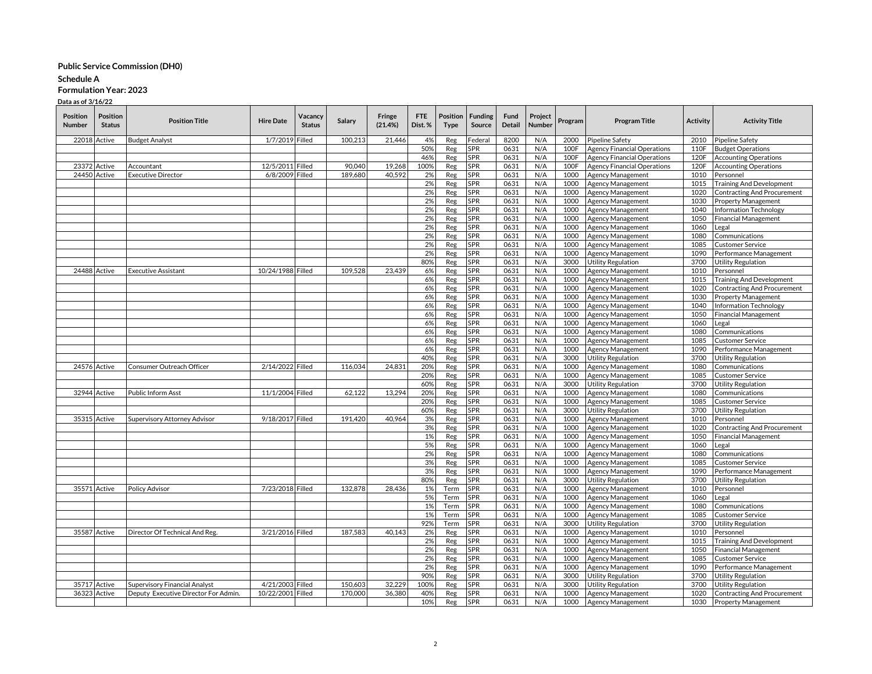#### **Schedule A**

## **Formulation Year: 2023**

| <b>Position</b><br>Number | Position<br><b>Status</b> | <b>Position Title</b>                | <b>Hire Date</b>  | Vacancy<br><b>Status</b> | Salary  | Fringe<br>(21.4%) | <b>FTE</b><br>Dist.% | Position<br>Type | <b>Funding</b><br>Source | Fund<br>Detail | Project<br>Number | Program | <b>Program Title</b>               | <b>Activity</b> | <b>Activity Title</b>              |
|---------------------------|---------------------------|--------------------------------------|-------------------|--------------------------|---------|-------------------|----------------------|------------------|--------------------------|----------------|-------------------|---------|------------------------------------|-----------------|------------------------------------|
|                           | 22018 Active              | <b>Budget Analyst</b>                | 1/7/2019          | Filled                   | 100,213 | 21,446            | 4%                   | Reg              | Federal                  | 8200           | N/A               | 2000    | Pipeline Safety                    | 2010            | <b>Pipeline Safety</b>             |
|                           |                           |                                      |                   |                          |         |                   | 50%                  | Reg              | <b>SPR</b>               | 0631           | N/A               | 100F    | <b>Agency Financial Operations</b> | 110F            | <b>Budget Operations</b>           |
|                           |                           |                                      |                   |                          |         |                   | 46%                  | Reg              | <b>SPR</b>               | 0631           | N/A               | 100F    | <b>Agency Financial Operations</b> | 120F            | <b>Accounting Operations</b>       |
| 23372 Active              |                           | Accountant                           | 12/5/2011 Filled  |                          | 90.040  | 19.268            | 100%                 | Reg              | <b>SPR</b>               | 0631           | N/A               | 100F    | <b>Agency Financial Operations</b> | 120F            | <b>Accounting Operations</b>       |
|                           | 24450 Active              | <b>Executive Director</b>            | 6/8/2009 Filled   |                          | 189,680 | 40.592            | 2%                   | Reg              | SPR                      | 0631           | N/A               | 1000    | Agency Management                  | 1010            | Personnel                          |
|                           |                           |                                      |                   |                          |         |                   | 2%                   | Reg              | <b>SPR</b>               | 0631           | N/A               | 1000    | Agency Management                  | 1015            | <b>Training And Development</b>    |
|                           |                           |                                      |                   |                          |         |                   | 2%                   | Reg              | <b>SPR</b>               | 0631           | N/A               | 1000    | Agency Management                  | 1020            | <b>Contracting And Procurement</b> |
|                           |                           |                                      |                   |                          |         |                   | 2%                   | Reg              | SPR                      | 0631           | N/A               | 1000    | Agency Management                  | 1030            | Property Management                |
|                           |                           |                                      |                   |                          |         |                   | 2%                   | Reg              | SPR                      | 0631           | N/A               | 1000    | Agency Management                  | 1040            | Information Technology             |
|                           |                           |                                      |                   |                          |         |                   | 2%                   | Reg              | SPR                      | 0631           | N/A               | 1000    | Agency Management                  | 1050            | <b>Financial Management</b>        |
|                           |                           |                                      |                   |                          |         |                   | 2%                   | Reg              | <b>SPR</b>               | 0631           | N/A               | 1000    | Agency Management                  | 1060            | _egal                              |
|                           |                           |                                      |                   |                          |         |                   | 2%                   | Reg              | SPR                      | 0631           | N/A               | 1000    | Agency Management                  | 1080            | Communications                     |
|                           |                           |                                      |                   |                          |         |                   | 2%                   | Reg              | <b>SPR</b>               | 0631           | N/A               | 1000    | Agency Management                  | 1085            | <b>Customer Service</b>            |
|                           |                           |                                      |                   |                          |         |                   | 2%                   | Reg              | <b>SPR</b>               | 0631           | N/A               | 1000    | Agency Management                  | 1090            | Performance Management             |
|                           |                           |                                      |                   |                          |         |                   | 80%                  | Reg              | <b>SPR</b>               | 0631           | N/A               | 3000    | Utility Regulation                 | 3700            | <b>Utility Regulation</b>          |
| 24488 Active              |                           | <b>Executive Assistant</b>           | 10/24/1988 Filled |                          | 109,528 | 23,439            | 6%                   | Reg              | <b>SPR</b>               | 0631           | N/A               | 1000    | Agency Management                  | 1010            | Personnel                          |
|                           |                           |                                      |                   |                          |         |                   | 6%                   | Reg              | <b>SPR</b>               | 0631           | N/A               | 1000    | Agency Management                  | 1015            | <b>Training And Development</b>    |
|                           |                           |                                      |                   |                          |         |                   | 6%                   | Reg              | SPR                      | 0631           | N/A               | 1000    | Agency Management                  | 1020            | <b>Contracting And Procurement</b> |
|                           |                           |                                      |                   |                          |         |                   | 6%                   | Reg              | SPR                      | 0631           | N/A               | 1000    | Agency Management                  | 1030            | Property Management                |
|                           |                           |                                      |                   |                          |         |                   | 6%                   | Reg              | SPR                      | 0631           | N/A               | 1000    | Agency Management                  | 1040            | Information Technology             |
|                           |                           |                                      |                   |                          |         |                   | 6%                   | Reg              | SPR                      | 0631           | N/A               | 1000    | Agency Management                  | 1050            | <b>Financial Management</b>        |
|                           |                           |                                      |                   |                          |         |                   | 6%                   | Reg              | <b>SPR</b>               | 0631           | N/A               | 1000    | Agency Management                  | 1060            | Legal                              |
|                           |                           |                                      |                   |                          |         |                   | 6%                   | Reg              | <b>SPR</b>               | 0631           | N/A               | 1000    |                                    | 1080            |                                    |
|                           |                           |                                      |                   |                          |         |                   |                      |                  | <b>SPR</b>               | 0631           | N/A               |         | Agency Management                  | 1085            | Communications                     |
|                           |                           |                                      |                   |                          |         |                   | 6%                   | Reg              |                          |                |                   | 1000    | Agency Management                  |                 | Customer Service                   |
|                           |                           |                                      |                   |                          |         |                   | 6%                   | Reg              | SPR                      | 0631           | N/A               | 1000    | Agency Management                  | 1090            | Performance Management             |
|                           |                           |                                      |                   |                          |         |                   | 40%                  | Reg              | <b>SPR</b>               | 0631           | N/A               | 3000    | Utility Regulation                 | 3700            | <b>Utility Regulation</b>          |
| 24576 Active              |                           | Consumer Outreach Officer            | 2/14/2022 Filled  |                          | 116,034 | 24,831            | 20%                  | Reg              | <b>SPR</b>               | 0631           | N/A               | 1000    | Agency Management                  | 1080            | Communications                     |
|                           |                           |                                      |                   |                          |         |                   | 20%                  | Reg              | SPR                      | 0631           | N/A               | 1000    | Agency Management                  | 1085            | Customer Service                   |
|                           |                           |                                      |                   |                          |         |                   | 60%                  | Reg              | SPR                      | 0631           | N/A               | 3000    | Utility Regulation                 | 3700            | <b>Utility Regulation</b>          |
|                           | 32944 Active              | Public Inform Asst                   | 11/1/2004 Filled  |                          | 62,122  | 13.294            | 20%                  | Reg              | <b>SPR</b>               | 0631           | N/A               | 1000    | Agency Management                  | 1080            | Communications                     |
|                           |                           |                                      |                   |                          |         |                   | 20%                  | Reg              | SPR                      | 0631           | N/A               | 1000    | Agency Management                  | 1085            | Customer Service                   |
|                           |                           |                                      |                   |                          |         |                   | 60%                  | Reg              | SPR                      | 0631           | N/A               | 3000    | Utility Regulation                 | 3700            | <b>Utility Regulation</b>          |
| 35315 Active              |                           | Supervisory Attorney Advisor         | 9/18/2017 Filled  |                          | 191.420 | 40.964            | 3%                   | Reg              | <b>SPR</b>               | 0631           | N/A               | 1000    | Agency Management                  | 1010            | Personnel                          |
|                           |                           |                                      |                   |                          |         |                   | 3%                   | Reg              | <b>SPR</b>               | 0631           | N/A               | 1000    | Agency Management                  | 1020            | <b>Contracting And Procurement</b> |
|                           |                           |                                      |                   |                          |         |                   | 1%                   | Reg              | <b>SPR</b>               | 0631           | N/A               | 1000    | Agency Management                  | 1050            | <b>Financial Management</b>        |
|                           |                           |                                      |                   |                          |         |                   | 5%                   | Reg              | SPR                      | 0631           | N/A               | 1000    | Agency Management                  | 1060            | Legal                              |
|                           |                           |                                      |                   |                          |         |                   | 2%                   | Reg              | SPR                      | 0631           | N/A               | 1000    | Agency Management                  | 1080            | Communications                     |
|                           |                           |                                      |                   |                          |         |                   | 3%                   | Reg              | <b>SPR</b>               | 0631           | N/A               | 1000    | Agency Management                  | 1085            | Customer Service                   |
|                           |                           |                                      |                   |                          |         |                   | 3%                   | Reg              | SPR                      | 0631           | N/A               | 1000    | Agency Management                  | 1090            | Performance Management             |
|                           |                           |                                      |                   |                          |         |                   | 80%                  | Reg              | SPR                      | 0631           | N/A               | 3000    | Utility Regulation                 | 3700            | <b>Utility Regulation</b>          |
| 35571 Active              |                           | <b>Policy Advisor</b>                | 7/23/2018 Filled  |                          | 132,878 | 28.436            | 1%                   | Term             | <b>SPR</b>               | 0631           | N/A               | 1000    | Agency Management                  | 1010            | Personnel                          |
|                           |                           |                                      |                   |                          |         |                   | 5%                   | Term             | <b>SPR</b>               | 0631           | N/A               | 1000    | Agency Management                  | 1060            | Legal                              |
|                           |                           |                                      |                   |                          |         |                   | 1%                   | Term             | <b>SPR</b>               | 0631           | N/A               | 1000    | Agency Management                  | 1080            | Communications                     |
|                           |                           |                                      |                   |                          |         |                   | 1%                   | Term             | SPR                      | 0631           | N/A               | 1000    | Agency Management                  | 1085            | Customer Service                   |
|                           |                           |                                      |                   |                          |         |                   | 92%                  | Term             | SPR                      | 0631           | N/A               | 3000    | <b>Utility Regulation</b>          | 3700            | <b>Utility Regulation</b>          |
|                           | 35587 Active              | Director Of Technical And Reg.       | 3/21/2016 Filled  |                          | 187,583 | 40,143            | 2%                   | Reg              | SPR                      | 0631           | N/A               | 1000    | Agency Management                  | 1010            | Personnel                          |
|                           |                           |                                      |                   |                          |         |                   | 2%                   | Reg              | SPR                      | 0631           | N/A               | 1000    | Agency Management                  | 1015            | <b>Training And Development</b>    |
|                           |                           |                                      |                   |                          |         |                   | 2%                   | Reg              | SPR                      | 0631           | N/A               | 1000    | Agency Management                  | 1050            | <b>Financial Management</b>        |
|                           |                           |                                      |                   |                          |         |                   | 2%                   | Reg              | <b>SPR</b>               | 0631           | N/A               | 1000    | Agency Management                  | 1085            | Customer Service                   |
|                           |                           |                                      |                   |                          |         |                   | 2%                   | Reg              | SPR                      | 0631           | N/A               | 1000    | <b>Agency Management</b>           | 1090            | Performance Management             |
|                           |                           |                                      |                   |                          |         |                   | 90%                  | Reg              | <b>SPR</b>               | 0631           | N/A               | 3000    | <b>Utility Regulation</b>          | 3700            | <b>Utility Regulation</b>          |
| 35717 Active              |                           | Supervisory Financial Analyst        | 4/21/2003         | Filled                   | 150,603 | 32,229            | 100 <sup>9</sup>     | Reg              | <b>SPR</b>               | 0631           | N/A               | 3000    | <b>Utility Regulation</b>          | 3700            | <b>Utility Regulation</b>          |
|                           | 36323 Active              | Deputy Executive Director For Admin. | 10/22/2001 Filled |                          | 170,000 | 36.380            | 40%                  | Reg              | <b>SPR</b>               | 0631           | N/A               | 1000    | <b>Agency Management</b>           | 1020            | <b>Contracting And Procurement</b> |
|                           |                           |                                      |                   |                          |         |                   | 10%                  | Reg              | SPR                      | 0631           | N/A               | 1000    | <b>Agency Management</b>           | 1030            | <b>Property Management</b>         |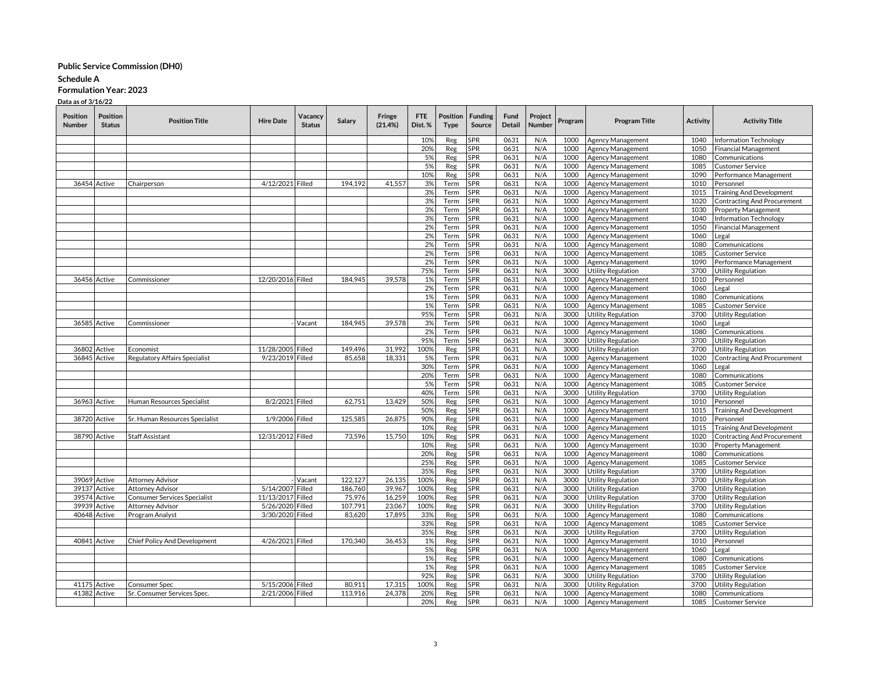## **Schedule A**

**Formulation Year: 2023**

| <b>Position</b><br><b>Number</b> | Position<br><b>Status</b> | <b>Position Title</b>                | <b>Hire Date</b>  | Vacancy<br><b>Status</b> | Salary  | Fringe<br>(21.4%) | <b>FTE</b><br>Dist.% | Position<br><b>Type</b> | <b>Funding</b><br>Source | Fund<br>Detail | Project<br>Number | Program | <b>Program Title</b>      | Activity | <b>Activity Title</b>                       |
|----------------------------------|---------------------------|--------------------------------------|-------------------|--------------------------|---------|-------------------|----------------------|-------------------------|--------------------------|----------------|-------------------|---------|---------------------------|----------|---------------------------------------------|
|                                  |                           |                                      |                   |                          |         |                   | 10%                  | Reg                     | spr                      | 0631           | N/A               | 1000    | Agency Management         | 1040     | Information Technology                      |
|                                  |                           |                                      |                   |                          |         |                   | 20%                  | Reg                     | 5PR                      | 0631           | N/A               | 1000    | Agency Management         | 1050     | <b>Financial Management</b>                 |
|                                  |                           |                                      |                   |                          |         |                   | 5%                   | Reg                     | <b>SPR</b>               | 0631           | N/A               | 1000    | Agency Management         | 1080     | Communications                              |
|                                  |                           |                                      |                   |                          |         |                   | 5%                   | Reg                     | SPR                      | 0631           | N/A               | 1000    | Agency Management         | 1085     | <b>Customer Service</b>                     |
|                                  |                           |                                      |                   |                          |         |                   | 10%                  | Reg                     | <b>SPR</b>               | 0631           | N/A               | 1000    | Agency Management         | 1090     | Performance Management                      |
|                                  | 36454 Active              | Chairperson                          | 4/12/2021 Filled  |                          | 194.192 | 41.557            | 3%                   | Term                    | SPR                      | 0631           | N/A               | 1000    | Agency Management         | 1010     | Personnel                                   |
|                                  |                           |                                      |                   |                          |         |                   | 3%                   | Term                    | <b>SPR</b>               | 0631           | N/A               | 1000    | Agency Management         | 1015     | <b>Training And Development</b>             |
|                                  |                           |                                      |                   |                          |         |                   | 3%                   | Term                    | <b>SPR</b>               | 0631           | N/A               | 1000    | Agency Management         | 1020     | <b>Contracting And Procurement</b>          |
|                                  |                           |                                      |                   |                          |         |                   | 3%                   | Term                    | SPR                      | 0631           | N/A               | 1000    | Agency Management         | 1030     | Property Management                         |
|                                  |                           |                                      |                   |                          |         |                   | 3%                   | Term                    | SPR                      | 0631           | N/A               | 1000    | Agency Management         | 1040     | Information Technology                      |
|                                  |                           |                                      |                   |                          |         |                   | 2%                   | Term                    | SPR                      | 0631           | N/A               | 1000    | Agency Management         | 1050     | <b>Financial Management</b>                 |
|                                  |                           |                                      |                   |                          |         |                   | 2%                   | Term                    | <b>SPR</b>               | 0631           | N/A               | 1000    | Agency Management         | 1060     | Legal                                       |
|                                  |                           |                                      |                   |                          |         |                   | 2%                   | Term                    | SPR                      | 0631           | N/A               | 1000    | Agency Management         | 1080     | Communications                              |
|                                  |                           |                                      |                   |                          |         |                   | 2%                   | Term                    | SPR                      | 0631           | N/A               | 1000    | Agency Management         | 1085     | <b>Customer Service</b>                     |
|                                  |                           |                                      |                   |                          |         |                   | 2%                   | Term                    | <b>SPR</b>               | 0631           | N/A               | 1000    | Agency Management         | 1090     | Performance Management                      |
|                                  |                           |                                      |                   |                          |         |                   | 75%                  | Term                    | <b>SPR</b>               | 0631           | N/A               | 3000    | <b>Utility Regulation</b> | 3700     | <b>Utility Regulation</b>                   |
|                                  | 36456 Active              | Commissioner                         | 12/20/2016 Filled |                          | 184,945 | 39,578            | 1%                   | Term                    | SPR                      | 0631           | N/A               | 1000    | Agency Management         | 1010     | Personnel                                   |
|                                  |                           |                                      |                   |                          |         |                   | 2%                   | Term                    | <b>SPR</b>               | 0631           | N/A               | 1000    | Agency Management         | 1060     | Legal                                       |
|                                  |                           |                                      |                   |                          |         |                   | 1%                   | Term                    | <b>SPR</b>               | 0631           | N/A               | 1000    | Agency Management         | 1080     | Communications                              |
|                                  |                           |                                      |                   |                          |         |                   | 1%                   | Term                    | SPR                      | 0631           | N/A               | 1000    | Agency Management         | 1085     | Customer Service                            |
|                                  |                           |                                      |                   |                          |         |                   | 95%                  | Term                    | 5PR                      | 0631           | N/A               | 3000    | Utility Regulation        | 3700     | Utility Regulation                          |
|                                  | 36585 Active              | Commissioner                         |                   | Vacant                   | 184,945 | 39,578            | 3%                   | Term                    | SPR                      | 0631           | N/A               | 1000    | Agency Management         | 1060     | Legal                                       |
|                                  |                           |                                      |                   |                          |         |                   | 2%                   | Term                    | SPR                      | 0631           | N/A               | 1000    | Agency Management         | 1080     | Communications                              |
|                                  |                           |                                      |                   |                          |         |                   | 95%                  | Term                    | <b>SPR</b>               | 0631           | N/A               | 3000    | <b>Utility Regulation</b> | 3700     | Utility Regulation                          |
| 36802                            | Active                    | Economist                            | 11/28/2005 Filled |                          | 149,496 | 31,992            | 100%                 | Reg                     | spr                      | 0631           | N/A               | 3000    | <b>Utility Regulation</b> | 3700     | <b>Utility Regulation</b>                   |
|                                  | 36845 Active              | <b>Regulatory Affairs Specialist</b> | 9/23/2019 Filled  |                          | 85,658  | 18,331            | 5%                   | Term                    | SPR                      | 0631           | N/A               | 1000    | Agency Management         | 1020     | Contracting And Procurement                 |
|                                  |                           |                                      |                   |                          |         |                   | 30%                  | Term                    | <b>SPR</b>               | 0631           | N/A               | 1000    | Agency Management         | 1060     | _egal                                       |
|                                  |                           |                                      |                   |                          |         |                   | 20%                  | Term                    | SPR                      | 0631           | N/A               | 1000    | Agency Management         | 1080     | Communications                              |
|                                  |                           |                                      |                   |                          |         |                   | 5%                   | Term                    | SPR                      | 0631           | N/A               | 1000    | Agency Management         | 1085     | <b>Customer Service</b>                     |
|                                  |                           |                                      |                   |                          |         |                   | 40%                  | Term                    | <b>SPR</b>               | 0631           | N/A               | 3000    | <b>Utility Regulation</b> | 3700     | <b>Utility Regulation</b>                   |
|                                  | 36963 Active              | Human Resources Specialist           | 8/2/2021 Filled   |                          | 62.751  | 13.429            | 50%                  | Reg                     | <b>SPR</b>               | 0631           | N/A               | 1000    | Agency Management         | 1010     | Personnel                                   |
|                                  |                           |                                      |                   |                          |         |                   | 50%                  | Reg                     | SPR                      | 0631           | N/A               | 1000    | Agency Management         | 1015     | <b>Training And Development</b>             |
|                                  | 38720 Active              | Sr. Human Resources Specialist       | 1/9/2006 Filled   |                          | 125,585 | 26,875            | 90%                  | Reg                     | SPR                      | 0631           | N/A               | 1000    | Agency Management         | 1010     | Personnel                                   |
|                                  |                           |                                      |                   |                          |         |                   | 10%                  | Reg                     | SPR                      | 0631           | N/A               | 1000    | Agency Management         | 1015     | <b>Training And Development</b>             |
|                                  | 38790 Active              | Staff Assistant                      | 12/31/2012 Filled |                          | 73,596  | 15,750            | 10%                  | Reg                     | SPR                      | 0631           | N/A               | 1000    | Agency Management         | 1020     | <b>Contracting And Procurement</b>          |
|                                  |                           |                                      |                   |                          |         |                   | 10%                  | Reg                     | SPR                      | 0631           | N/A               | 1000    | Agency Management         | 1030     | Property Management                         |
|                                  |                           |                                      |                   |                          |         |                   | 20%                  | Reg                     | SPR                      | 0631           | N/A               | 1000    | Agency Management         | 1080     | Communications                              |
|                                  |                           |                                      |                   |                          |         |                   | 25%                  | Reg                     | <b>SPR</b>               | 0631           | N/A               | 1000    | Agency Management         | 1085     | <b>Customer Service</b>                     |
|                                  |                           |                                      |                   |                          |         |                   | 35%                  | Reg                     | SPR                      | 0631           | N/A               | 3000    | <b>Utility Regulation</b> | 3700     | <b>Utility Regulation</b>                   |
|                                  | 39069 Active              | <b>Attorney Advisor</b>              |                   | Vacant                   | 122,127 | 26,135            | 100%                 | Reg                     | SPR                      | 0631           | N/A               | 3000    | <b>Utility Regulation</b> | 3700     | <b>Utility Regulation</b>                   |
| 39137                            | Active                    | <b>Attorney Advisor</b>              | 5/14/2007 Filled  |                          | 186,760 | 39.967            | 1009                 | Reg                     | SPR                      | 0631           | N/A               | 3000    | <b>Utility Regulation</b> | 3700     | <b>Utility Regulation</b>                   |
|                                  | 39574 Active              | <b>Consumer Services Specialist</b>  | 11/13/2017 Filled |                          | 75,976  | 16,259            | 100%                 | Reg                     | SPR                      | 0631           | N/A               | 3000    | <b>Utility Regulation</b> | 3700     | <b>Utility Regulation</b>                   |
| 39939                            | Active                    | Attorney Advisor                     | 5/26/2020 Filled  |                          | 107,791 | 23,067            | 100%                 | Reg                     | SPR                      | 0631           | N/A               | 3000    | Utility Regulation        | 3700     | <b>Utility Regulation</b>                   |
|                                  | 40648 Active              | Program Analyst                      | 3/30/2020 Filled  |                          | 83,620  | 17,895            | 339                  | Reg                     | SPR                      | 0631           | N/A               | 1000    | Agency Management         | 1080     | Communications                              |
|                                  |                           |                                      |                   |                          |         |                   | 33%                  | Reg                     | SPR                      | 0631           | N/A               | 1000    | Agency Management         | 1085     | <b>Customer Service</b>                     |
|                                  |                           |                                      |                   |                          |         |                   | 35%                  | Reg                     | <b>SPR</b>               | 0631           | N/A               | 3000    | <b>Utility Regulation</b> | 3700     | Utility Regulation                          |
|                                  | 40841 Active              | Chief Policy And Development         | 4/26/2021 Filled  |                          | 170,340 | 36,453            | 1%                   | Reg                     | 5PR                      | 0631           | N/A               | 1000    | Agency Management         | 1010     | Personnel                                   |
|                                  |                           |                                      |                   |                          |         |                   | 5%                   | Reg                     | SPR                      | 0631           | N/A               | 1000    | Agency Management         | 1060     | Legal                                       |
|                                  |                           |                                      |                   |                          |         |                   | 1%                   | Reg                     | SPR                      | 0631           | N/A               | 1000    | Agency Management         | 1080     | Communications                              |
|                                  |                           |                                      |                   |                          |         |                   | 1%                   | Reg                     | SPR                      | 0631           | N/A               | 1000    | Agency Management         | 1085     | <b>Customer Service</b>                     |
|                                  |                           |                                      |                   |                          |         |                   | 92%                  | Reg                     | SPR                      | 0631           | N/A               | 3000    | <b>Utility Regulation</b> | 3700     |                                             |
|                                  | 41175 Active              |                                      | 5/15/2006 Filled  |                          | 80,911  | 17,315            | 1009                 |                         | SPR                      | 0631           | N/A               | 3000    |                           | 3700     | Utility Regulation                          |
|                                  | 41382 Active              | Consumer Spec                        | 2/21/2006 Filled  |                          | 113.916 | 24,378            | 20%                  | Reg                     | <b>SPR</b>               | 0631           | N/A               | 1000    | <b>Utility Regulation</b> | 1080     | <b>Utility Regulation</b><br>Communications |
|                                  |                           | Sr. Consumer Services Spec.          |                   |                          |         |                   | 20%                  | Reg                     | <b>SPR</b>               | 0631           | N/A               | 1000    | <b>Agency Management</b>  | 1085     | <b>Customer Service</b>                     |
|                                  |                           |                                      |                   |                          |         |                   |                      | Reg                     |                          |                |                   |         | <b>Agency Management</b>  |          |                                             |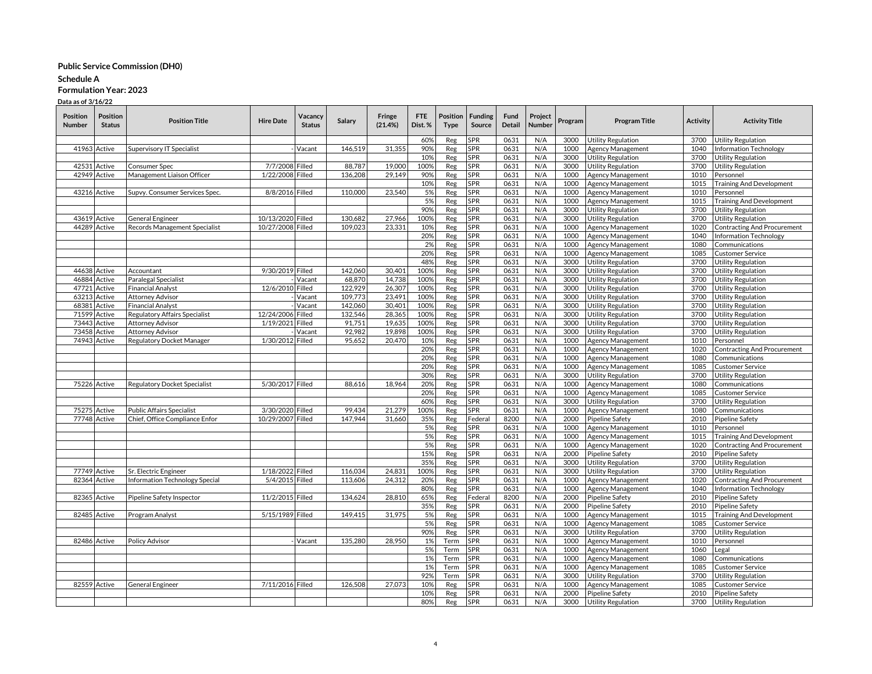### **Schedule A**

# **Formulation Year: 2023**

| <b>Position</b><br>Number | Position<br><b>Status</b> | <b>Position Title</b>               | <b>Hire Date</b>  | Vacancy<br><b>Status</b> | Salary  | Fringe<br>(21.4%) | FTE<br>Dist.% | Position<br>Type | <b>Funding</b><br>Source | Fund<br>Detail | Project<br>Number | Program | <b>Program Title</b>      | <b>Activity</b> | <b>Activity Title</b>              |
|---------------------------|---------------------------|-------------------------------------|-------------------|--------------------------|---------|-------------------|---------------|------------------|--------------------------|----------------|-------------------|---------|---------------------------|-----------------|------------------------------------|
|                           |                           |                                     |                   |                          |         |                   | 60%           | Reg              | <b>SPR</b>               | 0631           | N/A               | 3000    | <b>Utility Regulation</b> | 3700            | <b>Utility Regulation</b>          |
|                           | 41963 Active              | Supervisory IT Specialist           |                   | Vacant                   | 146,519 | 31.355            | 90%           | Reg              | <b>SPR</b>               | 0631           | N/A               | 1000    | <b>Agency Management</b>  | 1040            | Information Technology             |
|                           |                           |                                     |                   |                          |         |                   | 10%           | Reg              | <b>SPR</b>               | 0631           | N/A               | 3000    | <b>Utility Regulation</b> | 3700            | <b>Utility Regulation</b>          |
| 42531                     | Active                    | Consumer Spec                       | 7/7/2008 Filled   |                          | 88,787  | 19,000            | 100%          | Reg              | SPR                      | 0631           | N/A               | 3000    | <b>Utility Regulation</b> | 3700            | <b>Utility Regulation</b>          |
|                           | 42949 Active              | Management Liaison Officer          | 1/22/2008 Filled  |                          | 136,208 | 29,149            | 90%           | Reg              | SPR                      | 0631           | N/A               | 1000    | Agency Management         | 1010            | Personnel                          |
|                           |                           |                                     |                   |                          |         |                   | 10%           | Reg              | <b>SPR</b>               | 0631           | N/A               | 1000    | Agency Management         | 1015            | <b>Training And Development</b>    |
|                           | 43216 Active              | Supvy. Consumer Services Spec.      | 8/8/2016 Filled   |                          | 110,000 | 23.540            | 5%            | Reg              | <b>SPR</b>               | 0631           | N/A               | 1000    | <b>Agency Management</b>  | 1010            | Personnel                          |
|                           |                           |                                     |                   |                          |         |                   | 5%            | Reg              | <b>SPR</b>               | 0631           | N/A               | 1000    | Agency Management         | 1015            | <b>Training And Development</b>    |
|                           |                           |                                     |                   |                          |         |                   | 90%           | Reg              | <b>SPR</b>               | 0631           | N/A               | 3000    | <b>Utility Regulation</b> | 3700            | <b>Utility Regulation</b>          |
|                           | 43619 Active              | General Engineer                    | 10/13/2020 Filled |                          | 130,682 | 27,966            | 100%          | Reg              | SPR                      | 0631           | N/A               | 3000    | <b>Utility Regulation</b> | 3700            | <b>Utility Regulation</b>          |
| 44289                     | Active                    | Records Management Specialist       | 10/27/2008 Filled |                          | 109,023 | 23,331            | 10%           | Reg              | <b>SPR</b>               | 0631           | N/A               | 1000    | Agency Management         | 1020            | Contracting And Procurement        |
|                           |                           |                                     |                   |                          |         |                   | 20%           | Reg              | <b>SPR</b>               | 0631           | N/A               | 1000    | Agency Management         | 1040            | Information Technology             |
|                           |                           |                                     |                   |                          |         |                   | 2%            | Reg              | SPR                      | 0631           | N/A               | 1000    | Agency Management         | 1080            | Communications                     |
|                           |                           |                                     |                   |                          |         |                   | 20%           | Reg              | <b>SPR</b>               | 0631           | N/A               | 1000    | Agency Management         | 1085            | <b>Customer Service</b>            |
|                           |                           |                                     |                   |                          |         |                   | 48%           | Reg              | <b>SPR</b>               | 0631           | N/A               | 3000    | <b>Utility Regulation</b> | 3700            | <b>Utility Regulation</b>          |
| 44638                     | Active                    | Accountant                          | 9/30/2019 Filled  |                          | 142,060 | 30.401            | 100%          | Reg              | <b>SPR</b>               | 0631           | N/A               | 3000    | <b>Utility Regulation</b> | 3700            | <b>Utility Regulation</b>          |
| 46884                     | Active                    | Paralegal Specialist                |                   | Vacant                   | 68,870  | 14,738            | 100%          | Reg              | <b>SPR</b>               | 0631           | N/A               | 3000    | <b>Utility Regulation</b> | 3700            | <b>Utility Regulation</b>          |
| 47721                     | Active                    | <b>Financial Analyst</b>            | 12/6/2010         | Filled                   | 122,929 | 26,307            | 100%          | Reg              | SPR                      | 0631           | N/A               | 3000    | <b>Utility Regulation</b> | 3700            | <b>Utility Regulation</b>          |
| 6321                      | Active                    | Attorney Advisor                    |                   | Vacant                   | 109,773 | 23,491            | 100%          | Reg              | SPR                      | 0631           | N/A               | 3000    | <b>Utility Regulation</b> | 3700            | <b>Utility Regulation</b>          |
| 68381                     | Active                    | <b>Financial Analyst</b>            |                   | Vacant                   | 142,060 | 30.401            | 100%          | Reg              | <b>SPR</b>               | 0631           | N/A               | 3000    | <b>Utility Regulation</b> | 3700            | <b>Utility Regulation</b>          |
| 71599                     | Active                    | Regulatory Affairs Specialist       | 12/24/2006        | Filled                   | 132,546 | 28,365            | 100%          | Reg              | <b>SPR</b>               | 0631           | N/A               | 3000    | Utility Regulation        | 3700            | <b>Utility Regulation</b>          |
| 7344                      | Active                    | <b>Attorney Advisor</b>             | 1/19/2021         | Filled                   | 91,751  | 19,635            | 100%          | Reg              | <b>SPR</b>               | 0631           | N/A               | 3000    | <b>Utility Regulation</b> | 3700            | <b>Utility Regulation</b>          |
| 73458                     | Active                    | <b>Attorney Advisor</b>             |                   | Vacant                   | 92,982  | 19,898            | 100%          | Reg              | SPR                      | 0631           | N/A               | 3000    | <b>Utility Regulation</b> | 3700            | <b>Utility Regulation</b>          |
| 74943                     | Active                    | Regulatory Docket Manager           | 1/30/2012         | Filled                   | 95,652  | 20,470            | 10%           | Reg              | <b>SPR</b>               | 0631           | N/A               | 1000    | Agency Management         | 1010            | Personnel                          |
|                           |                           |                                     |                   |                          |         |                   | 20%           | Reg              | SPR                      | 0631           | N/A               | 1000    | Agency Management         | 1020            | Contracting And Procurement        |
|                           |                           |                                     |                   |                          |         |                   | 20%           | Reg              | <b>SPR</b>               | 0631           | N/A               | 1000    | Agency Management         | 1080            | Communications                     |
|                           |                           |                                     |                   |                          |         |                   | 20%           | Reg              | SPR                      | 0631           | N/A               | 1000    | Agency Management         | 1085            | <b>Customer Service</b>            |
|                           |                           |                                     |                   |                          |         |                   | 30%           | Reg              | <b>SPR</b>               | 0631           | N/A               | 3000    | <b>Utility Regulation</b> | 3700            | <b>Utility Regulation</b>          |
|                           | 75226 Active              | <b>Regulatory Docket Specialist</b> | 5/30/2017 Filled  |                          | 88,616  | 18,964            | 20%           | Reg              | SPR                      | 0631           | N/A               | 1000    | Agency Management         | 1080            | Communications                     |
|                           |                           |                                     |                   |                          |         |                   | 20%           | Reg              | <b>SPR</b>               | 0631           | N/A               | 1000    | Agency Management         | 1085            | <b>Customer Service</b>            |
|                           |                           |                                     |                   |                          |         |                   | 60%           | Reg              | SPR                      | 0631           | N/A               | 3000    | <b>Utility Regulation</b> | 3700            | <b>Utility Regulation</b>          |
| 75275                     | Active                    | <b>Public Affairs Specialist</b>    | 3/30/2020 Filled  |                          | 99,434  | 21,279            | 100%          | Reg              | SPR                      | 0631           | N/A               | 1000    | Agency Management         | 1080            | Communications                     |
|                           | 77748 Active              | Chief, Office Compliance Enfor      | 10/29/2007        | Filled                   | 147,944 | 31.660            | 35%           | Reg              | Federal                  | 8200           | N/A               | 2000    | Pipeline Safety           | 2010            | <b>Pipeline Safety</b>             |
|                           |                           |                                     |                   |                          |         |                   | 5%            | Reg              | <b>SPR</b>               | 0631           | N/A               | 1000    | Agency Management         | 1010            | Personnel                          |
|                           |                           |                                     |                   |                          |         |                   | 5%            | Reg              | <b>SPR</b>               | 0631           | N/A               | 1000    | <b>Agency Management</b>  | 1015            | <b>Training And Development</b>    |
|                           |                           |                                     |                   |                          |         |                   | 5%            | Reg              | <b>SPR</b>               | 0631           | N/A               | 1000    | Agency Management         | 1020            | Contracting And Procurement        |
|                           |                           |                                     |                   |                          |         |                   | 15%           | Reg              | SPR                      | 0631           | N/A               | 2000    | Pipeline Safety           | 2010            | <b>Pipeline Safety</b>             |
|                           |                           |                                     |                   |                          |         |                   | 35%           | Reg              | SPR                      | 0631           | N/A               | 3000    | <b>Utility Regulation</b> | 3700            | <b>Utility Regulation</b>          |
|                           | 77749 Active              | Sr. Electric Engineer               | 1/18/2022 Filled  |                          | 116,034 | 24,831            | 100%          | Reg              | <b>SPR</b>               | 0631           | N/A               | 3000    | <b>Utility Regulation</b> | 3700            | <b>Utility Regulation</b>          |
| 82364                     | Active                    | Information Technology Special      | 5/4/2015 Filled   |                          | 113,606 | 24.312            | 20%           | Reg              | SPR                      | 0631           | N/A               | 1000    | <b>Agency Management</b>  | 1020            | <b>Contracting And Procurement</b> |
|                           |                           |                                     |                   |                          |         |                   | 80%           | Reg              | <b>SPR</b>               | 0631           | N/A               | 1000    | Agency Management         | 1040            | Information Technology             |
| 82365                     | Active                    | Pipeline Safety Inspector           | 11/2/2015 Filled  |                          | 134,624 | 28,810            | 65%           | Reg              | Federal                  | 8200           | N/A               | 2000    | Pipeline Safety           | 2010            | Pipeline Safety                    |
|                           |                           |                                     |                   |                          |         |                   | 35%           | Reg              | <b>SPR</b>               | 0631           | N/A               | 2000    | <b>Pipeline Safety</b>    | 2010            | <b>Pipeline Safety</b>             |
|                           | 82485 Active              | Program Analyst                     | 5/15/1989 Filled  |                          | 149,415 | 31.975            | 5%            | Reg              | SPR                      | 0631           | N/A               | 1000    | <b>Agency Management</b>  | 1015            | <b>Training And Development</b>    |
|                           |                           |                                     |                   |                          |         |                   | 5%            | Reg              | <b>SPR</b>               | 0631           | N/A               | 1000    | Agency Management         | 1085            | <b>Customer Service</b>            |
|                           |                           |                                     |                   |                          |         |                   | 90%           | Reg              | <b>SPR</b>               | 0631           | N/A               | 3000    | <b>Utility Regulation</b> | 3700            | <b>Utility Regulation</b>          |
|                           | 82486 Active              | Policy Advisor                      |                   | Vacant                   | 135.280 | 28.950            | 1%            | Term             | <b>SPR</b>               | 0631           | N/A               | 1000    | Agency Management         | 1010            | Personnel                          |
|                           |                           |                                     |                   |                          |         |                   | 5%            | Term             | <b>SPR</b>               | 0631           | N/A               | 1000    | Agency Management         | 1060            | Legal                              |
|                           |                           |                                     |                   |                          |         |                   | 1%            | Term             | <b>SPR</b>               | 0631           | N/A               | 1000    | Agency Management         | 1080            | Communications                     |
|                           |                           |                                     |                   |                          |         |                   | 1%            | Term             | SPR                      | 0631           | N/A               | 1000    | Agency Management         | 1085            | <b>Customer Service</b>            |
|                           |                           |                                     |                   |                          |         |                   | 92%           | Term             | <b>SPR</b>               | 0631           | N/A               | 3000    | <b>Utility Regulation</b> | 3700            | <b>Utility Regulation</b>          |
|                           | 82559 Active              | General Engineer                    | 7/11/2016 Filled  |                          | 126,508 | 27,073            | 10%           | Reg              | <b>SPR</b>               | 0631           | N/A               | 1000    | Agency Management         | 1085            | <b>Customer Service</b>            |
|                           |                           |                                     |                   |                          |         |                   | 10%           | Reg              | <b>SPR</b>               | 0631           | N/A               | 2000    | Pipeline Safety           | 2010            | <b>Pipeline Safety</b>             |
|                           |                           |                                     |                   |                          |         |                   | 80%           | Reg              | <b>SPR</b>               | 0631           | N/A               | 3000    | <b>Utility Regulation</b> | 3700            | <b>Utility Regulation</b>          |